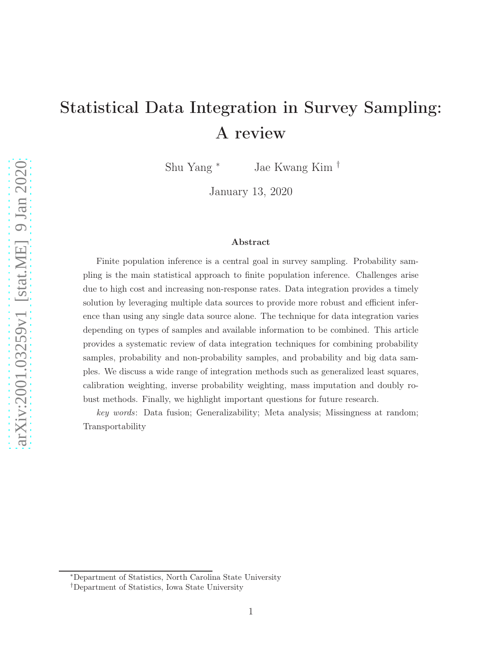# Statistical Data Integration in Survey Sampling: A review

Shu Yang <sup>∗</sup> Jae Kwang Kim †

January 13, 2020

#### Abstract

Finite population inference is a central goal in survey sampling. Probability sampling is the main statistical approach to finite population inference. Challenges arise due to high cost and increasing non-response rates. Data integration provides a timely solution by leveraging multiple data sources to provide more robust and efficient inference than using any single data source alone. The technique for data integration varies depending on types of samples and available information to be combined. This article provides a systematic review of data integration techniques for combining probability samples, probability and non-probability samples, and probability and big data samples. We discuss a wide range of integration methods such as generalized least squares, calibration weighting, inverse probability weighting, mass imputation and doubly robust methods. Finally, we highlight important questions for future research.

key words: Data fusion; Generalizability; Meta analysis; Missingness at random; Transportability

<sup>∗</sup>Department of Statistics, North Carolina State University

<sup>†</sup>Department of Statistics, Iowa State University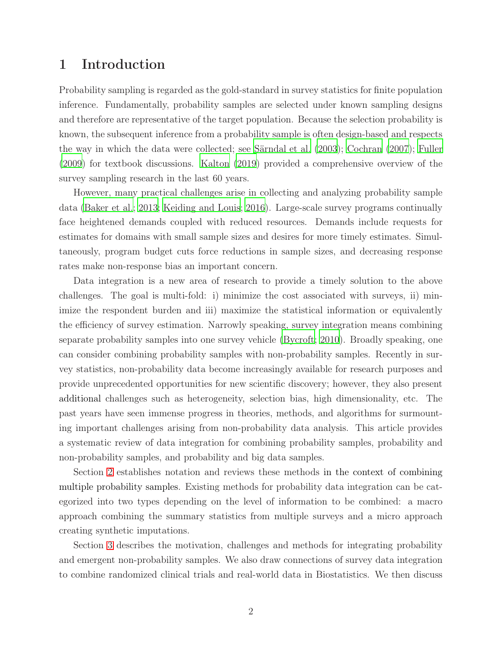### 1 Introduction

Probability sampling is regarded as the gold-standard in survey statistics for finite population inference. Fundamentally, probability samples are selected under known sampling designs and therefore are representative of the target population. Because the selection probability is known, the subsequent inference from a probability sample is often design-based and respects the way in which the data were collected; see [Särndal et al. \(2003](#page-30-0)); [Cochran \(2007\)](#page-26-0); [Fuller](#page-27-0) [\(2009\)](#page-27-0) for textbook discussions. [Kalton \(2019\)](#page-27-1) provided a comprehensive overview of the survey sampling research in the last 60 years.

However, many practical challenges arise in collecting and analyzing probability sample data [\(Baker et al.](#page-25-0); [2013;](#page-25-0) [Keiding and Louis](#page-27-2); [2016](#page-27-2)). Large-scale survey programs continually face heightened demands coupled with reduced resources. Demands include requests for estimates for domains with small sample sizes and desires for more timely estimates. Simultaneously, program budget cuts force reductions in sample sizes, and decreasing response rates make non-response bias an important concern.

Data integration is a new area of research to provide a timely solution to the above challenges. The goal is multi-fold: i) minimize the cost associated with surveys, ii) minimize the respondent burden and iii) maximize the statistical information or equivalently the efficiency of survey estimation. Narrowly speaking, survey integration means combining separate probability samples into one survey vehicle [\(Bycroft; 2010\)](#page-25-1). Broadly speaking, one can consider combining probability samples with non-probability samples. Recently in survey statistics, non-probability data become increasingly available for research purposes and provide unprecedented opportunities for new scientific discovery; however, they also present additional challenges such as heterogeneity, selection bias, high dimensionality, etc. The past years have seen immense progress in theories, methods, and algorithms for surmounting important challenges arising from non-probability data analysis. This article provides a systematic review of data integration for combining probability samples, probability and non-probability samples, and probability and big data samples.

Section [2](#page-2-0) establishes notation and reviews these methods in the context of combining multiple probability samples. Existing methods for probability data integration can be categorized into two types depending on the level of information to be combined: a macro approach combining the summary statistics from multiple surveys and a micro approach creating synthetic imputations.

Section [3](#page-10-0) describes the motivation, challenges and methods for integrating probability and emergent non-probability samples. We also draw connections of survey data integration to combine randomized clinical trials and real-world data in Biostatistics. We then discuss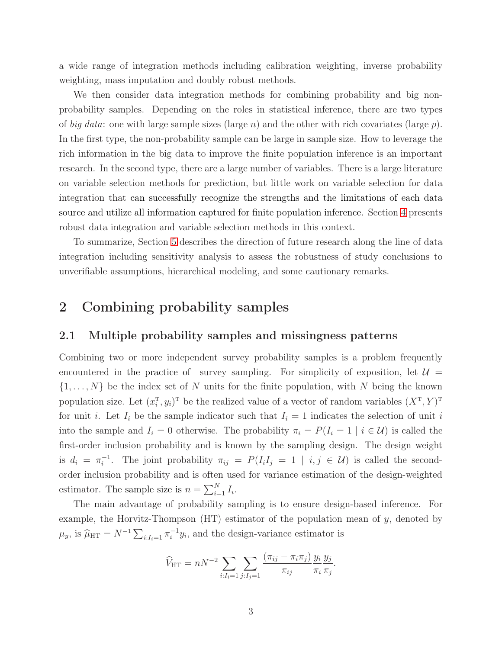a wide range of integration methods including calibration weighting, inverse probability weighting, mass imputation and doubly robust methods.

We then consider data integration methods for combining probability and big nonprobability samples. Depending on the roles in statistical inference, there are two types of *big data*: one with large sample sizes (large n) and the other with rich covariates (large p). In the first type, the non-probability sample can be large in sample size. How to leverage the rich information in the big data to improve the finite population inference is an important research. In the second type, there are a large number of variables. There is a large literature on variable selection methods for prediction, but little work on variable selection for data integration that can successfully recognize the strengths and the limitations of each data source and utilize all information captured for finite population inference. Section [4](#page-19-0) presents robust data integration and variable selection methods in this context.

To summarize, Section [5](#page-24-0) describes the direction of future research along the line of data integration including sensitivity analysis to assess the robustness of study conclusions to unverifiable assumptions, hierarchical modeling, and some cautionary remarks.

## <span id="page-2-0"></span>2 Combining probability samples

### 2.1 Multiple probability samples and missingness patterns

Combining two or more independent survey probability samples is a problem frequently encountered in the practice of survey sampling. For simplicity of exposition, let  $\mathcal{U} =$  $\{1,\ldots,N\}$  be the index set of N units for the finite population, with N being the known population size. Let  $(x_i^{\mathrm{T}}, y_i)^{\mathrm{T}}$  be the realized value of a vector of random variables  $(X^{\mathrm{T}}, Y)^{\mathrm{T}}$ for unit i. Let  $I_i$  be the sample indicator such that  $I_i = 1$  indicates the selection of unit i into the sample and  $I_i = 0$  otherwise. The probability  $\pi_i = P(I_i = 1 | i \in \mathcal{U})$  is called the first-order inclusion probability and is known by the sampling design. The design weight is  $d_i = \pi_i^{-1}$ <sup>-1</sup>. The joint probability  $\pi_{ij} = P(I_i I_j = 1 | i, j \in \mathcal{U})$  is called the secondorder inclusion probability and is often used for variance estimation of the design-weighted estimator. The sample size is  $n = \sum_{i=1}^{N} I_i$ .

The main advantage of probability sampling is to ensure design-based inference. For example, the Horvitz-Thompson  $(HT)$  estimator of the population mean of y, denoted by  $\mu_y$ , is  $\hat{\mu}_{\text{HT}} = N^{-1} \sum_{i:I_i=1} \pi_i^{-1}$  $i^{-1}y_i$ , and the design-variance estimator is

$$
\widehat{V}_{\text{HT}} = nN^{-2} \sum_{i:I_i=1} \sum_{j:I_j=1} \frac{(\pi_{ij} - \pi_i \pi_j)}{\pi_{ij}} \frac{y_i}{\pi_i} \frac{y_j}{\pi_j}.
$$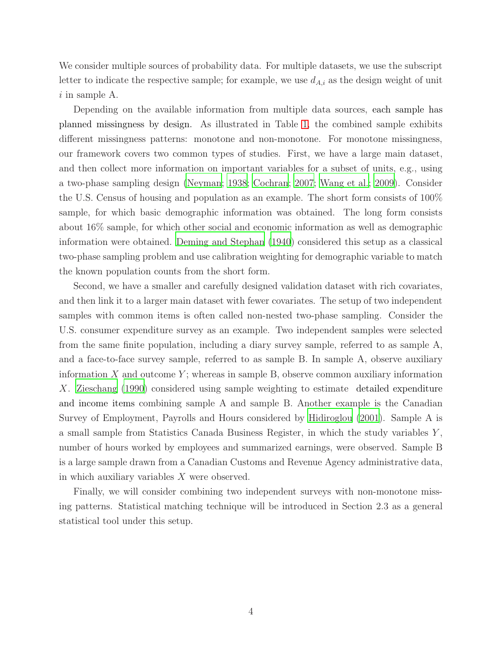We consider multiple sources of probability data. For multiple datasets, we use the subscript letter to indicate the respective sample; for example, we use  $d_{A,i}$  as the design weight of unit  $i$  in sample A.

Depending on the available information from multiple data sources, each sample has planned missingness by design. As illustrated in Table [1,](#page-4-0) the combined sample exhibits different missingness patterns: monotone and non-monotone. For monotone missingness, our framework covers two common types of studies. First, we have a large main dataset, and then collect more information on important variables for a subset of units, e.g., using a two-phase sampling design [\(Neyman](#page-29-0); [1938](#page-29-0); [Cochran; 2007;](#page-26-0) [Wang et al.; 2009\)](#page-31-0). Consider the U.S. Census of housing and population as an example. The short form consists of 100% sample, for which basic demographic information was obtained. The long form consists about 16% sample, for which other social and economic information as well as demographic information were obtained. [Deming and Stephan \(1940\)](#page-26-1) considered this setup as a classical two-phase sampling problem and use calibration weighting for demographic variable to match the known population counts from the short form.

Second, we have a smaller and carefully designed validation dataset with rich covariates, and then link it to a larger main dataset with fewer covariates. The setup of two independent samples with common items is often called non-nested two-phase sampling. Consider the U.S. consumer expenditure survey as an example. Two independent samples were selected from the same finite population, including a diary survey sample, referred to as sample A, and a face-to-face survey sample, referred to as sample B. In sample A, observe auxiliary information  $X$  and outcome  $Y$ ; whereas in sample B, observe common auxiliary information X. [Zieschang \(1990\)](#page-32-0) considered using sample weighting to estimate detailed expenditure and income items combining sample A and sample B. Another example is the Canadian Survey of Employment, Payrolls and Hours considered by [Hidiroglou \(2001\)](#page-27-3). Sample A is a small sample from Statistics Canada Business Register, in which the study variables Y , number of hours worked by employees and summarized earnings, were observed. Sample B is a large sample drawn from a Canadian Customs and Revenue Agency administrative data, in which auxiliary variables X were observed.

Finally, we will consider combining two independent surveys with non-monotone missing patterns. Statistical matching technique will be introduced in Section 2.3 as a general statistical tool under this setup.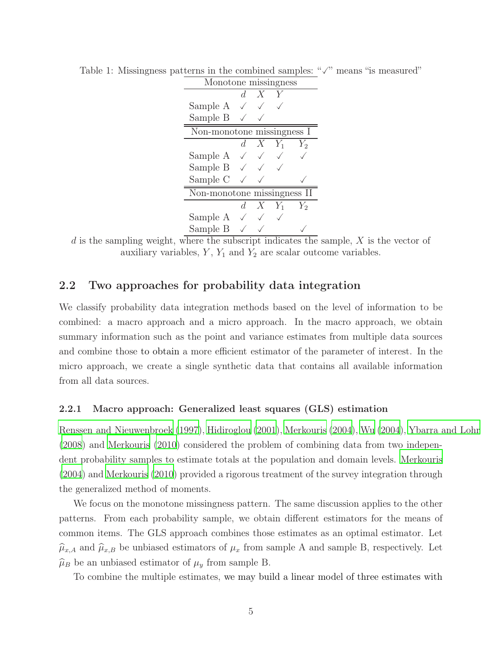| Monotone missingness        |         |            |           |       |  |
|-----------------------------|---------|------------|-----------|-------|--|
|                             | d.      | X          |           |       |  |
| Sample A                    |         |            |           |       |  |
| Sample B                    |         |            |           |       |  |
| Non-monotone missingness I  |         |            |           |       |  |
|                             |         | $d\quad X$ | $Y_1$     | $Y_2$ |  |
| Sample A                    |         |            |           |       |  |
| Sample $B \sim$             |         |            |           |       |  |
| Sample C                    |         |            |           |       |  |
| Non-monotone missingness II |         |            |           |       |  |
|                             | $d_{-}$ |            | $X$ $Y_1$ | $Y_2$ |  |
| Sample A                    |         |            |           |       |  |
| Sample B                    |         |            |           |       |  |

<span id="page-4-0"></span>Table 1: Missingness patterns in the combined samples: " $\sqrt{ }$ " means "is measured"

d is the sampling weight, where the subscript indicates the sample, X is the vector of auxiliary variables,  $Y$ ,  $Y_1$  and  $Y_2$  are scalar outcome variables.

### 2.2 Two approaches for probability data integration

We classify probability data integration methods based on the level of information to be combined: a macro approach and a micro approach. In the macro approach, we obtain summary information such as the point and variance estimates from multiple data sources and combine those to obtain a more efficient estimator of the parameter of interest. In the micro approach, we create a single synthetic data that contains all available information from all data sources.

#### 2.2.1 Macro approach: Generalized least squares (GLS) estimation

[Renssen and Nieuwenbroek](#page-30-1) [\(1997](#page-30-1)), [Hidiroglou \(2001\)](#page-27-3), [Merkouris \(2004](#page-29-1)), [Wu](#page-31-1) [\(2004\)](#page-31-1), [Ybarra and Lohr](#page-32-1) [\(2008\)](#page-32-1) and [Merkouris \(2010](#page-29-2)) considered the problem of combining data from two independent probability samples to estimate totals at the population and domain levels. [Merkouris](#page-29-1) [\(2004\)](#page-29-1) and [Merkouris \(2010\)](#page-29-2) provided a rigorous treatment of the survey integration through the generalized method of moments.

We focus on the monotone missingness pattern. The same discussion applies to the other patterns. From each probability sample, we obtain different estimators for the means of common items. The GLS approach combines those estimates as an optimal estimator. Let  $\hat{\mu}_{x,A}$  and  $\hat{\mu}_{x,B}$  be unbiased estimators of  $\mu_x$  from sample A and sample B, respectively. Let  $\widehat{\mu}_B$  be an unbiased estimator of  $\mu_y$  from sample B.

To combine the multiple estimates, we may build a linear model of three estimates with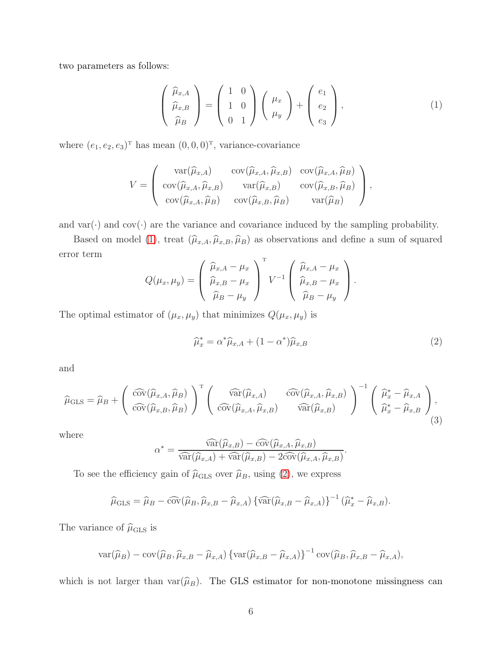two parameters as follows:

<span id="page-5-0"></span>
$$
\begin{pmatrix}\n\widehat{\mu}_{x,A} \\
\widehat{\mu}_{x,B} \\
\widehat{\mu}_{B}\n\end{pmatrix} = \begin{pmatrix}\n1 & 0 \\
1 & 0 \\
0 & 1\n\end{pmatrix} \begin{pmatrix}\n\mu_x \\
\mu_y\n\end{pmatrix} + \begin{pmatrix}\ne_1 \\
e_2 \\
e_3\n\end{pmatrix},
$$
\n(1)

where  $(e_1, e_2, e_3)^T$  has mean  $(0, 0, 0)^T$ , variance-covariance

$$
V = \begin{pmatrix} \text{var}(\widehat{\mu}_{x,A}) & \text{cov}(\widehat{\mu}_{x,A}, \widehat{\mu}_{x,B}) & \text{cov}(\widehat{\mu}_{x,A}, \widehat{\mu}_{B}) \\ \text{cov}(\widehat{\mu}_{x,A}, \widehat{\mu}_{x,B}) & \text{var}(\widehat{\mu}_{x,B}) & \text{cov}(\widehat{\mu}_{x,B}, \widehat{\mu}_{B}) \\ \text{cov}(\widehat{\mu}_{x,A}, \widehat{\mu}_{B}) & \text{cov}(\widehat{\mu}_{x,B}, \widehat{\mu}_{B}) & \text{var}(\widehat{\mu}_{B}) \end{pmatrix},
$$

and var( $\cdot$ ) and cov( $\cdot$ ) are the variance and covariance induced by the sampling probability.

Based on model [\(1\)](#page-5-0), treat  $(\widehat{\mu}_{x,A}, \widehat{\mu}_{x,B}, \widehat{\mu}_{B})$  as observations and define a sum of squared error term  $\overline{T}$ 

$$
Q(\mu_x, \mu_y) = \begin{pmatrix} \widehat{\mu}_{x,A} - \mu_x \\ \widehat{\mu}_{x,B} - \mu_x \\ \widehat{\mu}_B - \mu_y \end{pmatrix}^{\mathrm{T}} V^{-1} \begin{pmatrix} \widehat{\mu}_{x,A} - \mu_x \\ \widehat{\mu}_{x,B} - \mu_x \\ \widehat{\mu}_B - \mu_y \end{pmatrix}.
$$

The optimal estimator of  $(\mu_x, \mu_y)$  that minimizes  $Q(\mu_x, \mu_y)$  is

<span id="page-5-1"></span>
$$
\widehat{\mu}_x^* = \alpha^* \widehat{\mu}_{x,A} + (1 - \alpha^*) \widehat{\mu}_{x,B}
$$
\n(2)

and

$$
\widehat{\mu}_{\text{GLS}} = \widehat{\mu}_B + \left( \begin{array}{c} \widehat{\text{cov}}(\widehat{\mu}_{x,A}, \widehat{\mu}_B) \\ \widehat{\text{cov}}(\widehat{\mu}_{x,B}, \widehat{\mu}_B) \end{array} \right)^{\text{T}} \left( \begin{array}{c} \widehat{\text{var}}(\widehat{\mu}_{x,A}) & \widehat{\text{cov}}(\widehat{\mu}_{x,A}, \widehat{\mu}_{x,B}) \\ \widehat{\text{cov}}(\widehat{\mu}_{x,A}, \widehat{\mu}_{x,B}) & \widehat{\text{var}}(\widehat{\mu}_{x,B}) \end{array} \right)^{-1} \left( \begin{array}{c} \widehat{\mu}_x^* - \widehat{\mu}_{x,A} \\ \widehat{\mu}_x^* - \widehat{\mu}_{x,B} \end{array} \right), \tag{3}
$$

where

$$
\alpha^* = \frac{\widehat{\text{var}}(\widehat{\mu}_{x,B}) - \widehat{\text{cov}}(\widehat{\mu}_{x,A}, \widehat{\mu}_{x,B})}{\widehat{\text{var}}(\widehat{\mu}_{x,A}) + \widehat{\text{var}}(\widehat{\mu}_{x,B}) - 2\widehat{\text{cov}}(\widehat{\mu}_{x,A}, \widehat{\mu}_{x,B})}.
$$

To see the efficiency gain of  $\widehat{\mu}_{\text{GLS}}$  over  $\widehat{\mu}_B$ , using [\(2\)](#page-5-1), we express

$$
\widehat{\mu}_{\text{GLS}} = \widehat{\mu}_B - \widehat{\text{cov}}(\widehat{\mu}_B, \widehat{\mu}_{x,B} - \widehat{\mu}_{x,A}) \left\{ \widehat{\text{var}}(\widehat{\mu}_{x,B} - \widehat{\mu}_{x,A}) \right\}^{-1} (\widehat{\mu}_x^* - \widehat{\mu}_{x,B}).
$$

The variance of  $\hat{\mu}_{\text{GLS}}$  is

$$
\text{var}(\widehat{\mu}_B) - \text{cov}(\widehat{\mu}_B, \widehat{\mu}_{x,B} - \widehat{\mu}_{x,A}) \left\{ \text{var}(\widehat{\mu}_{x,B} - \widehat{\mu}_{x,A}) \right\}^{-1} \text{cov}(\widehat{\mu}_B, \widehat{\mu}_{x,B} - \widehat{\mu}_{x,A}),
$$

which is not larger than  $var(\hat{\mu}_B)$ . The GLS estimator for non-monotone missingness can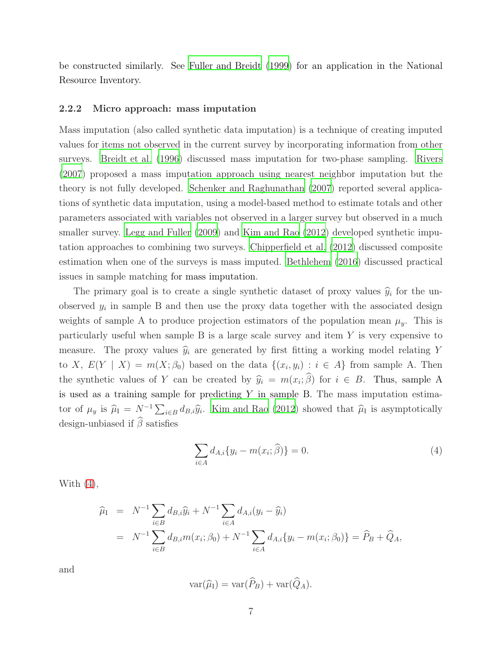be constructed similarly. See [Fuller and Breidt \(1999\)](#page-27-4) for an application in the National Resource Inventory.

#### 2.2.2 Micro approach: mass imputation

Mass imputation (also called synthetic data imputation) is a technique of creating imputed values for items not observed in the current survey by incorporating information from other surveys. [Breidt et al. \(1996\)](#page-25-2) discussed mass imputation for two-phase sampling. [Rivers](#page-30-2) [\(2007\)](#page-30-2) proposed a mass imputation approach using nearest neighbor imputation but the theory is not fully developed. [Schenker and Raghunathan](#page-30-3) [\(2007\)](#page-30-3) reported several applications of synthetic data imputation, using a model-based method to estimate totals and other parameters associated with variables not observed in a larger survey but observed in a much smaller survey. [Legg and Fuller](#page-28-0) [\(2009\)](#page-28-0) and [Kim and Rao \(2012](#page-28-1)) developed synthetic imputation approaches to combining two surveys. [Chipperfield et](#page-26-2) al. [\(2012\)](#page-26-2) discussed composite estimation when one of the surveys is mass imputed. [Bethlehem \(2016](#page-25-3)) discussed practical issues in sample matching for mass imputation.

The primary goal is to create a single synthetic dataset of proxy values  $\hat{y}_i$  for the unobserved  $y_i$  in sample B and then use the proxy data together with the associated design weights of sample A to produce projection estimators of the population mean  $\mu_y$ . This is particularly useful when sample  $B$  is a large scale survey and item  $Y$  is very expensive to measure. The proxy values  $\hat{y}_i$  are generated by first fitting a working model relating Y to X,  $E(Y | X) = m(X; \beta_0)$  based on the data  $\{(x_i, y_i) : i \in A\}$  from sample A. Then the synthetic values of Y can be created by  $\hat{y}_i = m(x_i; \beta)$  for  $i \in B$ . Thus, sample A is used as a training sample for predicting  $Y$  in sample B. The mass imputation estimator of  $\mu_y$  is  $\hat{\mu}_I = N^{-1} \sum_{i \in B} d_{B,i} \hat{y}_i$ . [Kim and Rao \(2012](#page-28-1)) showed that  $\hat{\mu}_I$  is asymptotically design-unbiased if  $\hat{\beta}$  satisfies

<span id="page-6-0"></span>
$$
\sum_{i \in A} d_{A,i} \{ y_i - m(x_i; \hat{\beta}) \} = 0.
$$
 (4)

With  $(4)$ ,

$$
\widehat{\mu}_{I} = N^{-1} \sum_{i \in B} d_{B,i} \widehat{y}_{i} + N^{-1} \sum_{i \in A} d_{A,i} (y_{i} - \widehat{y}_{i})
$$
\n
$$
= N^{-1} \sum_{i \in B} d_{B,i} m(x_{i}; \beta_{0}) + N^{-1} \sum_{i \in A} d_{A,i} \{y_{i} - m(x_{i}; \beta_{0})\} = \widehat{P}_{B} + \widehat{Q}_{A},
$$

and

$$
\text{var}(\widehat{\mu}_I) = \text{var}(\widehat{P}_B) + \text{var}(\widehat{Q}_A).
$$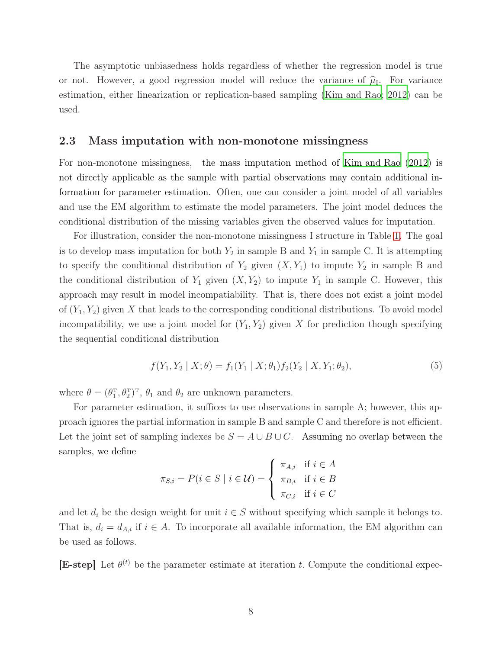The asymptotic unbiasedness holds regardless of whether the regression model is true or not. However, a good regression model will reduce the variance of  $\hat{\mu}_{I}$ . For variance estimation, either linearization or replication-based sampling [\(Kim and Rao](#page-28-1); [2012\)](#page-28-1) can be used.

#### 2.3 Mass imputation with non-monotone missingness

For non-monotone missingness, the mass imputation method of [Kim and Rao \(2012](#page-28-1)) is not directly applicable as the sample with partial observations may contain additional information for parameter estimation. Often, one can consider a joint model of all variables and use the EM algorithm to estimate the model parameters. The joint model deduces the conditional distribution of the missing variables given the observed values for imputation.

For illustration, consider the non-monotone missingness I structure in Table [1.](#page-4-0) The goal is to develop mass imputation for both  $Y_2$  in sample B and  $Y_1$  in sample C. It is attempting to specify the conditional distribution of  $Y_2$  given  $(X, Y_1)$  to impute  $Y_2$  in sample B and the conditional distribution of  $Y_1$  given  $(X, Y_2)$  to impute  $Y_1$  in sample C. However, this approach may result in model incompatiability. That is, there does not exist a joint model of  $(Y_1, Y_2)$  given X that leads to the corresponding conditional distributions. To avoid model incompatibility, we use a joint model for  $(Y_1, Y_2)$  given X for prediction though specifying the sequential conditional distribution

$$
f(Y_1, Y_2 | X; \theta) = f_1(Y_1 | X; \theta_1) f_2(Y_2 | X, Y_1; \theta_2),
$$
\n(5)

where  $\theta = (\theta_1^T, \theta_2^T)^T$ ,  $\theta_1$  and  $\theta_2$  are unknown parameters.

For parameter estimation, it suffices to use observations in sample A; however, this approach ignores the partial information in sample B and sample C and therefore is not efficient. Let the joint set of sampling indexes be  $S = A \cup B \cup C$ . Assuming no overlap between the samples, we define

$$
\pi_{S,i} = P(i \in S \mid i \in \mathcal{U}) = \begin{cases} \pi_{A,i} & \text{if } i \in A \\ \pi_{B,i} & \text{if } i \in B \\ \pi_{C,i} & \text{if } i \in C \end{cases}
$$

and let  $d_i$  be the design weight for unit  $i \in S$  without specifying which sample it belongs to. That is,  $d_i = d_{A,i}$  if  $i \in A$ . To incorporate all available information, the EM algorithm can be used as follows.

**[E-step]** Let  $\theta^{(t)}$  be the parameter estimate at iteration t. Compute the conditional expec-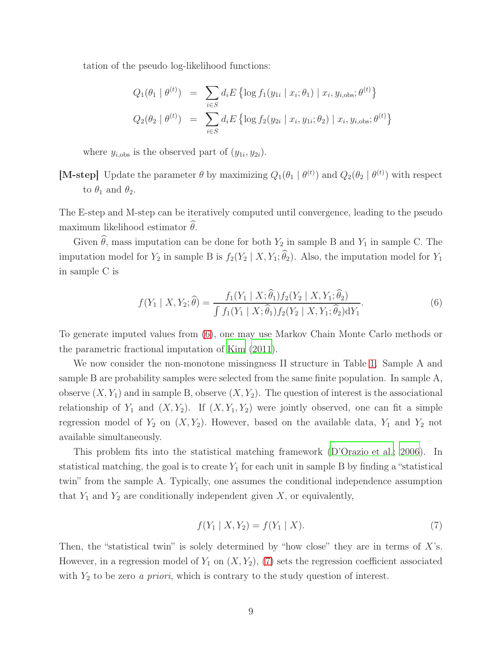tation of the pseudo log-likelihood functions:

$$
Q_1(\theta_1 | \theta^{(t)}) = \sum_{i \in S} d_i E \{ \log f_1(y_{1i} | x_i; \theta_1) | x_i, y_{i,obs}; \theta^{(t)} \}
$$
  

$$
Q_2(\theta_2 | \theta^{(t)}) = \sum_{i \in S} d_i E \{ \log f_2(y_{2i} | x_i, y_{1i}; \theta_2) | x_i, y_{i,obs}; \theta^{(t)} \}
$$

where  $y_{i,obs}$  is the observed part of  $(y_{1i}, y_{2i})$ .

[M-step] Update the parameter  $\theta$  by maximizing  $Q_1(\theta_1 | \theta^{(t)})$  and  $Q_2(\theta_2 | \theta^{(t)})$  with respect to  $\theta_1$  and  $\theta_2$ .

The E-step and M-step can be iteratively computed until convergence, leading to the pseudo maximum likelihood estimator  $\theta$ .

Given  $\widehat{\theta}$ , mass imputation can be done for both  $Y_2$  in sample B and  $Y_1$  in sample C. The imputation model for  $Y_2$  in sample B is  $f_2(Y_2 | X, Y_1; \hat{\theta}_2)$ . Also, the imputation model for  $Y_1$ in sample C is

<span id="page-8-0"></span>
$$
f(Y_1 | X, Y_2; \hat{\theta}) = \frac{f_1(Y_1 | X; \hat{\theta}_1) f_2(Y_2 | X, Y_1; \hat{\theta}_2)}{\int f_1(Y_1 | X; \hat{\theta}_1) f_2(Y_2 | X, Y_1; \hat{\theta}_2) dY_1}.
$$
(6)

To generate imputed values from [\(6\)](#page-8-0), one may use Markov Chain Monte Carlo methods or the parametric fractional imputation of [Kim \(2011\)](#page-28-2).

We now consider the non-monotone missingness II structure in Table [1.](#page-4-0) Sample A and sample B are probability samples were selected from the same finite population. In sample A, observe  $(X, Y_1)$  and in sample B, observe  $(X, Y_2)$ . The question of interest is the associational relationship of  $Y_1$  and  $(X, Y_2)$ . If  $(X, Y_1, Y_2)$  were jointly observed, one can fit a simple regression model of  $Y_2$  on  $(X, Y_2)$ . However, based on the available data,  $Y_1$  and  $Y_2$  not available simultaneously.

This problem fits into the statistical matching framework [\(D'Orazio et al.; 2006\)](#page-27-5). In statistical matching, the goal is to create  $Y_1$  for each unit in sample B by finding a "statistical" twin" from the sample A. Typically, one assumes the conditional independence assumption that  $Y_1$  and  $Y_2$  are conditionally independent given  $X$ , or equivalently,

<span id="page-8-1"></span>
$$
f(Y_1 | X, Y_2) = f(Y_1 | X).
$$
\n(7)

Then, the "statistical twin" is solely determined by "how close" they are in terms of  $X$ 's. However, in a regression model of  $Y_1$  on  $(X, Y_2)$ ,  $(7)$  sets the regression coefficient associated with Y<sup>2</sup> to be zero *a priori*, which is contrary to the study question of interest.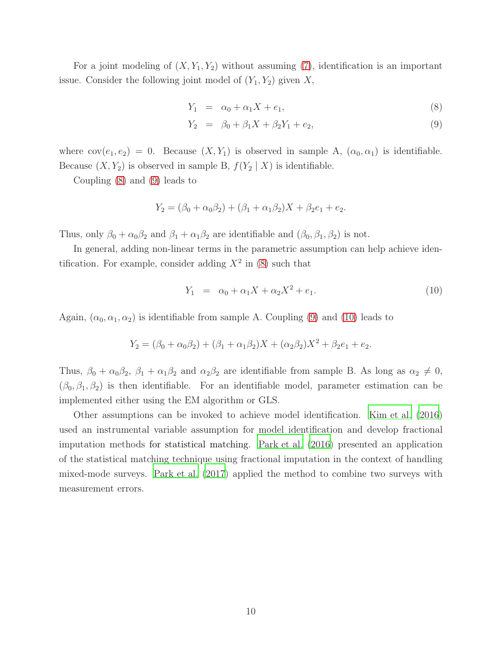For a joint modeling of  $(X, Y_1, Y_2)$  without assuming [\(7\)](#page-8-1), identification is an important issue. Consider the following joint model of  $(Y_1, Y_2)$  given X,

<span id="page-9-0"></span>
$$
Y_1 = \alpha_0 + \alpha_1 X + e_1,\tag{8}
$$

$$
Y_2 = \beta_0 + \beta_1 X + \beta_2 Y_1 + e_2, \tag{9}
$$

where  $cov(e_1, e_2) = 0$ . Because  $(X, Y_1)$  is observed in sample A,  $(\alpha_0, \alpha_1)$  is identifiable. Because  $(X, Y_2)$  is observed in sample B,  $f(Y_2 | X)$  is identifiable.

Coupling [\(8\)](#page-9-0) and [\(9\)](#page-9-0) leads to

$$
Y_2 = (\beta_0 + \alpha_0 \beta_2) + (\beta_1 + \alpha_1 \beta_2)X + \beta_2 e_1 + e_2.
$$

Thus, only  $\beta_0 + \alpha_0 \beta_2$  and  $\beta_1 + \alpha_1 \beta_2$  are identifiable and  $(\beta_0, \beta_1, \beta_2)$  is not.

In general, adding non-linear terms in the parametric assumption can help achieve identification. For example, consider adding  $X^2$  in [\(8\)](#page-9-0) such that

<span id="page-9-1"></span>
$$
Y_1 = \alpha_0 + \alpha_1 X + \alpha_2 X^2 + e_1. \tag{10}
$$

Again,  $(\alpha_0, \alpha_1, \alpha_2)$  is identifiable from sample A. Coupling [\(9\)](#page-9-0) and [\(10\)](#page-9-1) leads to

$$
Y_2 = (\beta_0 + \alpha_0 \beta_2) + (\beta_1 + \alpha_1 \beta_2)X + (\alpha_2 \beta_2)X^2 + \beta_2 e_1 + e_2.
$$

Thus,  $\beta_0 + \alpha_0 \beta_2$ ,  $\beta_1 + \alpha_1 \beta_2$  and  $\alpha_2 \beta_2$  are identifiable from sample B. As long as  $\alpha_2 \neq 0$ ,  $(\beta_0, \beta_1, \beta_2)$  is then identifiable. For an identifiable model, parameter estimation can be implemented either using the EM algorithm or GLS.

Other assumptions can be invoked to achieve model identification. [Kim et al. \(2016\)](#page-28-3) used an instrumental variable assumption for model identification and develop fractional imputation methods for statistical matching. [Park et al. \(2016\)](#page-29-3) presented an application of the statistical matching technique using fractional imputation in the context of handling mixed-mode surveys. [Park et al. \(2017\)](#page-29-4) applied the method to combine two surveys with measurement errors.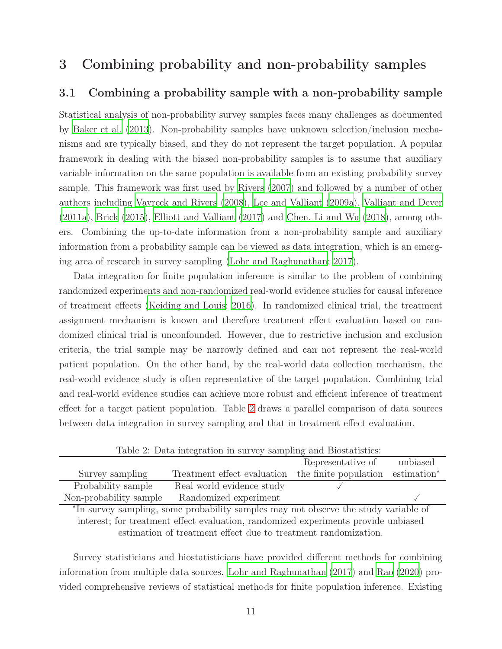## <span id="page-10-0"></span>3 Combining probability and non-probability samples

### 3.1 Combining a probability sample with a non-probability sample

Statistical analysis of non-probability survey samples faces many challenges as documented by [Baker et al. \(2013](#page-25-0)). Non-probability samples have unknown selection/inclusion mechanisms and are typically biased, and they do not represent the target population. A popular framework in dealing with the biased non-probability samples is to assume that auxiliary variable information on the same population is available from an existing probability survey sample. This framework was first used by [Rivers \(2007](#page-30-2)) and followed by a number of other authors including [Vavreck and Rivers](#page-31-2) [\(2008\)](#page-31-2), [Lee and Valliant \(2009a\)](#page-28-4), [Valliant and Dever](#page-31-3) [\(2011a\)](#page-31-3), [Brick \(2015](#page-25-4)), [Elliott and Valliant \(2017\)](#page-27-6) and [Chen, Li and Wu](#page-26-3) [\(2018](#page-26-3)), among others. Combining the up-to-date information from a non-probability sample and auxiliary information from a probability sample can be viewed as data integration, which is an emerging area of research in survey sampling [\(Lohr and Raghunathan; 2017](#page-28-5)).

Data integration for finite population inference is similar to the problem of combining randomized experiments and non-randomized real-world evidence studies for causal inference of treatment effects [\(Keiding and Louis](#page-27-2); [2016](#page-27-2)). In randomized clinical trial, the treatment assignment mechanism is known and therefore treatment effect evaluation based on randomized clinical trial is unconfounded. However, due to restrictive inclusion and exclusion criteria, the trial sample may be narrowly defined and can not represent the real-world patient population. On the other hand, by the real-world data collection mechanism, the real-world evidence study is often representative of the target population. Combining trial and real-world evidence studies can achieve more robust and efficient inference of treatment effect for a target patient population. Table [2](#page-10-1) draws a parallel comparison of data sources between data integration in survey sampling and that in treatment effect evaluation.

|                        | Table 2. Dava mogravion in parto, bamping and Dioblastics.                |                   |          |
|------------------------|---------------------------------------------------------------------------|-------------------|----------|
|                        |                                                                           | Representative of | unbiased |
| Survey sampling        | Treatment effect evaluation the finite population estimation <sup>*</sup> |                   |          |
| Probability sample     | Real world evidence study                                                 |                   |          |
| Non-probability sample | Randomized experiment                                                     |                   |          |
|                        |                                                                           |                   |          |

<span id="page-10-1"></span>Table 2: Data integration in survey sampling and Biostatistics:

∗ In survey sampling, some probability samples may not observe the study variable of interest; for treatment effect evaluation, randomized experiments provide unbiased estimation of treatment effect due to treatment randomization.

Survey statisticians and biostatisticians have provided different methods for combining information from multiple data sources. [Lohr and Raghunathan \(2017](#page-28-5)) and [Rao \(2020](#page-29-5)) provided comprehensive reviews of statistical methods for finite population inference. Existing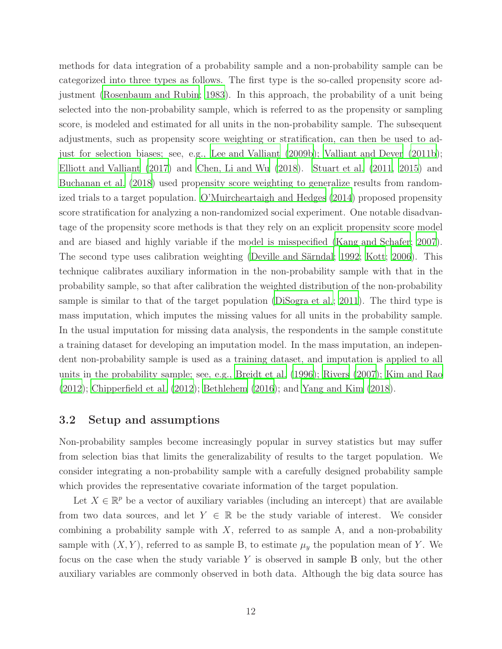methods for data integration of a probability sample and a non-probability sample can be categorized into three types as follows. The first type is the so-called propensity score adjustment [\(Rosenbaum and Rubin](#page-30-4); [1983](#page-30-4)). In this approach, the probability of a unit being selected into the non-probability sample, which is referred to as the propensity or sampling score, is modeled and estimated for all units in the non-probability sample. The subsequent adjustments, such as propensity score weighting or stratification, can then be used to adjust for selection biases; see, e.g., [Lee and Valliant \(2009b](#page-28-6)); [Valliant and Dever \(2011b](#page-31-4)); [Elliott and Valliant \(2017](#page-27-6)) and [Chen, Li and Wu \(2018\)](#page-26-3). [Stuart et al. \(2011](#page-30-5), [2015\)](#page-30-6) and [Buchanan et al. \(2018](#page-25-5)) used propensity score weighting to generalize results from randomized trials to a target population. [O'Muircheartaigh and Hedges \(2014](#page-29-6)) proposed propensity score stratification for analyzing a non-randomized social experiment. One notable disadvantage of the propensity score methods is that they rely on an explicit propensity score model and are biased and highly variable if the model is misspecified [\(Kang and Schafer; 2007](#page-27-7)). The second type uses calibration weighting [\(Deville and Särndal; 1992](#page-26-4); [Kott](#page-28-7); [2006\)](#page-28-7). This technique calibrates auxiliary information in the non-probability sample with that in the probability sample, so that after calibration the weighted distribution of the non-probability sample is similar to that of the target population [\(DiSogra et al.](#page-27-8); [2011](#page-27-8)). The third type is mass imputation, which imputes the missing values for all units in the probability sample. In the usual imputation for missing data analysis, the respondents in the sample constitute a training dataset for developing an imputation model. In the mass imputation, an independent non-probability sample is used as a training dataset, and imputation is applied to all units in the probability sample; see, e.g., [Breidt et al.](#page-25-2) [\(1996\)](#page-25-2); [Rivers \(2007\)](#page-30-2); [Kim and Rao](#page-28-1) [\(2012\)](#page-28-1); [Chipperfield et al. \(2012](#page-26-2)); [Bethlehem \(2016](#page-25-3)); and [Yang and Kim \(2018](#page-31-5)).

### 3.2 Setup and assumptions

Non-probability samples become increasingly popular in survey statistics but may suffer from selection bias that limits the generalizability of results to the target population. We consider integrating a non-probability sample with a carefully designed probability sample which provides the representative covariate information of the target population.

Let  $X \in \mathbb{R}^p$  be a vector of auxiliary variables (including an intercept) that are available from two data sources, and let  $Y \in \mathbb{R}$  be the study variable of interest. We consider combining a probability sample with  $X$ , referred to as sample  $A$ , and a non-probability sample with  $(X, Y)$ , referred to as sample B, to estimate  $\mu_y$  the population mean of Y. We focus on the case when the study variable Y is observed in sample B only, but the other auxiliary variables are commonly observed in both data. Although the big data source has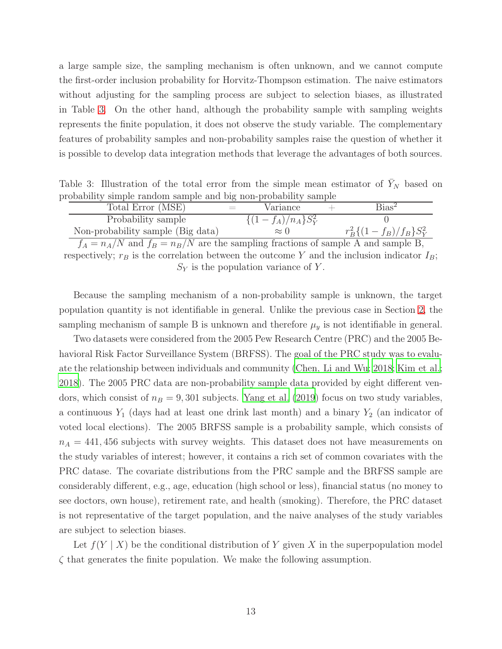a large sample size, the sampling mechanism is often unknown, and we cannot compute the first-order inclusion probability for Horvitz-Thompson estimation. The naive estimators without adjusting for the sampling process are subject to selection biases, as illustrated in Table [3.](#page-12-0) On the other hand, although the probability sample with sampling weights represents the finite population, it does not observe the study variable. The complementary features of probability samples and non-probability samples raise the question of whether it is possible to develop data integration methods that leverage the advantages of both sources.

Table 3: Illustration of the total error from the simple mean estimator of  $Y_N$  based on probability simple random sample and big non-probability sample

<span id="page-12-0"></span>

| Total Error (MSE)                           | $=$ | Variance               | $Bias^2$                    |
|---------------------------------------------|-----|------------------------|-----------------------------|
| Probability sample                          |     | $\{(1-f_A)/n_A\}S_Y^2$ |                             |
| Non-probability sample (Big data)           |     | $\approx$ ()           | $r_B^2\{(1-f_B)/f_B\}S_Y^2$ |
| .<br>$\mathbf{1}$ $\mathbf{1}$ $\mathbf{1}$ |     | ___                    |                             |

 $f_A = n_A/N$  and  $f_B = n_B/N$  are the sampling fractions of sample A and sample B, respectively;  $r_B$  is the correlation between the outcome Y and the inclusion indicator  $I_B$ ;  $S_Y$  is the population variance of Y.

Because the sampling mechanism of a non-probability sample is unknown, the target population quantity is not identifiable in general. Unlike the previous case in Section [2,](#page-2-0) the sampling mechanism of sample B is unknown and therefore  $\mu_y$  is not identifiable in general.

Two datasets were considered from the 2005 Pew Research Centre (PRC) and the 2005 Behavioral Risk Factor Surveillance System (BRFSS). The goal of the PRC study was to evaluate the relationship between individuals and community [\(Chen, Li and Wu](#page-26-3); [2018;](#page-26-3) [Kim et al.;](#page-28-8) [2018\)](#page-28-8). The 2005 PRC data are non-probability sample data provided by eight different vendors, which consist of  $n_B = 9,301$  subjects. [Yang et al. \(2019\)](#page-31-6) focus on two study variables, a continuous  $Y_1$  (days had at least one drink last month) and a binary  $Y_2$  (an indicator of voted local elections). The 2005 BRFSS sample is a probability sample, which consists of  $n_A = 441,456$  subjects with survey weights. This dataset does not have measurements on the study variables of interest; however, it contains a rich set of common covariates with the PRC datase. The covariate distributions from the PRC sample and the BRFSS sample are considerably different, e.g., age, education (high school or less), financial status (no money to see doctors, own house), retirement rate, and health (smoking). Therefore, the PRC dataset is not representative of the target population, and the naive analyses of the study variables are subject to selection biases.

<span id="page-12-1"></span>Let  $f(Y | X)$  be the conditional distribution of Y given X in the superpopulation model  $\zeta$  that generates the finite population. We make the following assumption.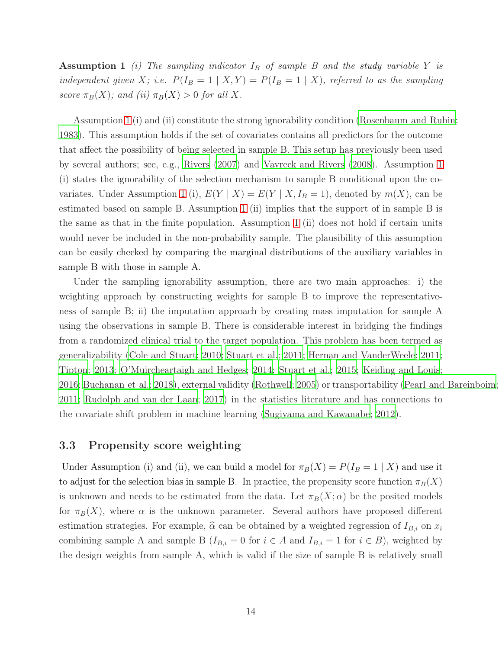Assumption 1 *(i)* The sampling indicator  $I_B$  of sample B and the study variable Y is *independent given* X; *i.e.*  $P(I_B = 1 | X, Y) = P(I_B = 1 | X)$ *, referred to as the sampling score*  $\pi_B(X)$ *; and (ii)*  $\pi_B(X) > 0$  *for all* X*.* 

Assumption [1](#page-12-1) (i) and (ii) constitute the strong ignorability condition [\(Rosenbaum and Rubin;](#page-30-4) [1983\)](#page-30-4). This assumption holds if the set of covariates contains all predictors for the outcome that affect the possibility of being selected in sample B. This setup has previously been used by several authors; see, e.g., [Rivers \(2007\)](#page-30-2) and [Vavreck and](#page-31-2) Rivers [\(2008](#page-31-2)). Assumption [1](#page-12-1) (i) states the ignorability of the selection mechanism to sample B conditional upon the co-variates. Under Assumption [1](#page-12-1) (i),  $E(Y | X) = E(Y | X, I_B = 1)$ , denoted by  $m(X)$ , can be estimated based on sample B. Assumption [1](#page-12-1) (ii) implies that the support of in sample B is the same as that in the finite population. Assumption [1](#page-12-1) (ii) does not hold if certain units would never be included in the non-probability sample. The plausibility of this assumption can be easily checked by comparing the marginal distributions of the auxiliary variables in sample B with those in sample A.

Under the sampling ignorability assumption, there are two main approaches: i) the weighting approach by constructing weights for sample B to improve the representativeness of sample B; ii) the imputation approach by creating mass imputation for sample A using the observations in sample B. There is considerable interest in bridging the findings from a randomized clinical trial to the target population. This problem has been termed as generalizability [\(Cole and Stuart; 2010;](#page-26-5) [Stuart et al.; 2011](#page-30-5); [Hernan and VanderWeele](#page-27-9); [2011;](#page-27-9) [Tipton](#page-31-7); [2013;](#page-31-7) [O'Muircheartaigh and Hedges](#page-29-6); [2014;](#page-29-6) [Stuart et](#page-30-6) al.; [2015;](#page-30-6) [Keiding and Louis;](#page-27-2) [2016;](#page-27-2) [Buchanan et al.](#page-25-5); [2018](#page-25-5)), external validity [\(Rothwell](#page-30-7); [2005](#page-30-7)) or transportability [\(Pearl and Bareinboim](#page-29-7); [2011;](#page-29-7) [Rudolph and van der Laan](#page-30-8); [2017\)](#page-30-8) in the statistics literature and has connections to the covariate shift problem in machine learning [\(Sugiyama and Kawanabe](#page-30-9); [2012](#page-30-9)).

### 3.3 Propensity score weighting

Under Assumption (i) and (ii), we can build a model for  $\pi_B(X) = P(I_B = 1 | X)$  and use it to adjust for the selection bias in sample B. In practice, the propensity score function  $\pi_B(X)$ is unknown and needs to be estimated from the data. Let  $\pi_B(X; \alpha)$  be the posited models for  $\pi_B(X)$ , where  $\alpha$  is the unknown parameter. Several authors have proposed different estimation strategies. For example,  $\hat{\alpha}$  can be obtained by a weighted regression of  $I_{B,i}$  on  $x_i$ combining sample A and sample B  $(I_{B,i} = 0$  for  $i \in A$  and  $I_{B,i} = 1$  for  $i \in B$ ), weighted by the design weights from sample A, which is valid if the size of sample B is relatively small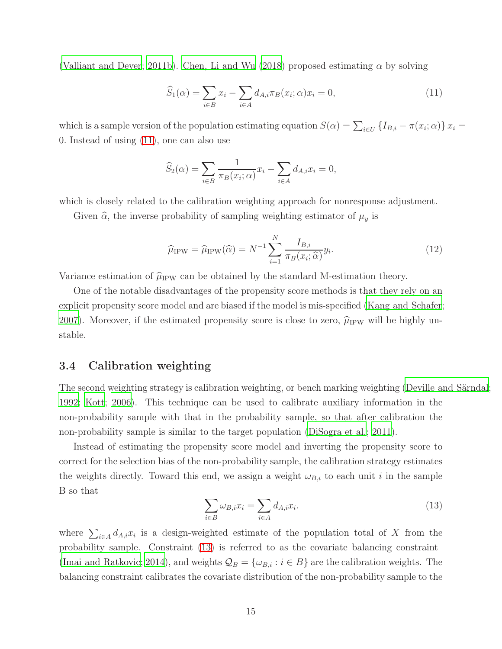[\(Valliant and Dever; 2011b\)](#page-31-4). [Chen, Li and Wu \(2018\)](#page-26-3) proposed estimating  $\alpha$  by solving

<span id="page-14-0"></span>
$$
\widehat{S}_1(\alpha) = \sum_{i \in B} x_i - \sum_{i \in A} d_{A,i} \pi_B(x_i; \alpha) x_i = 0,
$$
\n(11)

which is a sample version of the population estimating equation  $S(\alpha) = \sum_{i \in U} \{I_{B,i} - \pi(x_i; \alpha)\}\, x_i =$ 0. Instead of using [\(11\)](#page-14-0), one can also use

$$
\widehat{S}_2(\alpha) = \sum_{i \in B} \frac{1}{\pi_B(x_i; \alpha)} x_i - \sum_{i \in A} d_{A,i} x_i = 0,
$$

which is closely related to the calibration weighting approach for nonresponse adjustment.

Given  $\hat{\alpha}$ , the inverse probability of sampling weighting estimator of  $\mu_y$  is

$$
\widehat{\mu}_{IPW} = \widehat{\mu}_{IPW}(\widehat{\alpha}) = N^{-1} \sum_{i=1}^{N} \frac{I_{B,i}}{\pi_B(x_i; \widehat{\alpha})} y_i.
$$
\n(12)

Variance estimation of  $\hat{\mu}_{IPW}$  can be obtained by the standard M-estimation theory.

One of the notable disadvantages of the propensity score methods is that they rely on an explicit propensity score model and are biased if the model is mis-specified [\(Kang and Schafer](#page-27-7); [2007\)](#page-27-7). Moreover, if the estimated propensity score is close to zero,  $\hat{\mu}_{IPW}$  will be highly unstable.

### 3.4 Calibration weighting

The second weighting strategy is calibration weighting, or bench marking weighting [\(Deville and Särndal](#page-26-4); [1992;](#page-26-4) [Kott; 2006\)](#page-28-7). This technique can be used to calibrate auxiliary information in the non-probability sample with that in the probability sample, so that after calibration the non-probability sample is similar to the target population [\(DiSogra et al.; 2011](#page-27-8)).

Instead of estimating the propensity score model and inverting the propensity score to correct for the selection bias of the non-probability sample, the calibration strategy estimates the weights directly. Toward this end, we assign a weight  $\omega_{B,i}$  to each unit i in the sample B so that

<span id="page-14-1"></span>
$$
\sum_{i \in B} \omega_{B,i} x_i = \sum_{i \in A} d_{A,i} x_i.
$$
\n(13)

where  $\sum_{i\in A} d_{A,i}x_i$  is a design-weighted estimate of the population total of X from the probability sample. Constraint [\(13\)](#page-14-1) is referred to as the covariate balancing constraint [\(Imai and Ratkovic](#page-27-10); [2014\)](#page-27-10), and weights  $\mathcal{Q}_B = {\{\omega_{B,i} : i \in B\}}$  are the calibration weights. The balancing constraint calibrates the covariate distribution of the non-probability sample to the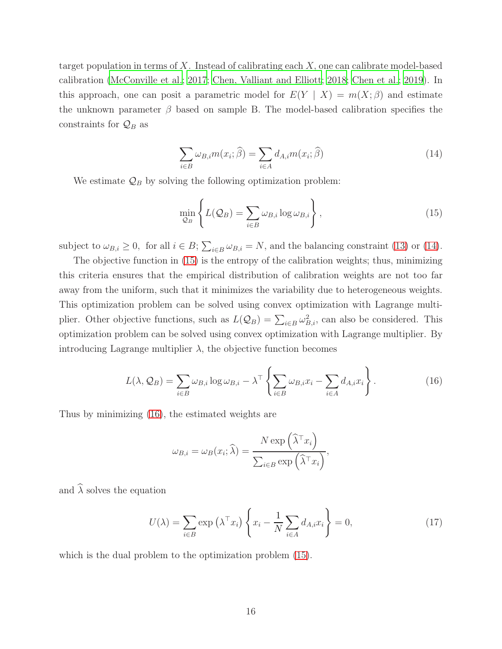target population in terms of X. Instead of calibrating each  $X$ , one can calibrate model-based calibration [\(McConville et al.](#page-28-9); [2017;](#page-28-9) [Chen, Valliant and Elliott](#page-26-6); [2018;](#page-26-6) [Chen et al.](#page-26-7); [2019](#page-26-7)). In this approach, one can posit a parametric model for  $E(Y \mid X) = m(X;\beta)$  and estimate the unknown parameter  $\beta$  based on sample B. The model-based calibration specifies the constraints for  $\mathcal{Q}_B$  as

<span id="page-15-0"></span>
$$
\sum_{i \in B} \omega_{B,i} m(x_i; \hat{\beta}) = \sum_{i \in A} d_{A,i} m(x_i; \hat{\beta}) \tag{14}
$$

We estimate  $\mathcal{Q}_B$  by solving the following optimization problem:

<span id="page-15-1"></span>
$$
\min_{\mathcal{Q}_B} \left\{ L(\mathcal{Q}_B) = \sum_{i \in B} \omega_{B,i} \log \omega_{B,i} \right\},\tag{15}
$$

subject to  $\omega_{B,i} \geq 0$ , for all  $i \in B$ ;  $\sum_{i \in B} \omega_{B,i} = N$ , and the balancing constraint [\(13\)](#page-14-1) or [\(14\)](#page-15-0).

The objective function in [\(15\)](#page-15-1) is the entropy of the calibration weights; thus, minimizing this criteria ensures that the empirical distribution of calibration weights are not too far away from the uniform, such that it minimizes the variability due to heterogeneous weights. This optimization problem can be solved using convex optimization with Lagrange multiplier. Other objective functions, such as  $L(Q_B) = \sum_{i \in B} \omega_{B,i}^2$ , can also be considered. This optimization problem can be solved using convex optimization with Lagrange multiplier. By introducing Lagrange multiplier  $\lambda$ , the objective function becomes

<span id="page-15-2"></span>
$$
L(\lambda, \mathcal{Q}_B) = \sum_{i \in B} \omega_{B,i} \log \omega_{B,i} - \lambda^{\top} \left\{ \sum_{i \in B} \omega_{B,i} x_i - \sum_{i \in A} d_{A,i} x_i \right\}.
$$
 (16)

Thus by minimizing [\(16\)](#page-15-2), the estimated weights are

$$
\omega_{B,i} = \omega_B(x_i; \widehat{\lambda}) = \frac{N \exp\left(\widehat{\lambda}^\top x_i\right)}{\sum_{i \in B} \exp\left(\widehat{\lambda}^\top x_i\right)},
$$

and  $\widehat{\lambda}$  solves the equation

<span id="page-15-3"></span>
$$
U(\lambda) = \sum_{i \in B} \exp\left(\lambda^{\top} x_i\right) \left\{ x_i - \frac{1}{N} \sum_{i \in A} d_{A,i} x_i \right\} = 0,
$$
\n(17)

which is the dual problem to the optimization problem [\(15\)](#page-15-1).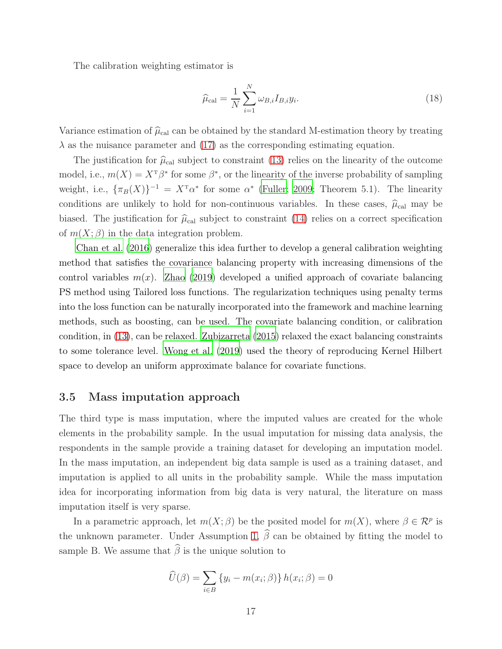The calibration weighting estimator is

$$
\widehat{\mu}_{\text{cal}} = \frac{1}{N} \sum_{i=1}^{N} \omega_{B,i} I_{B,i} y_i.
$$
\n(18)

Variance estimation of  $\hat{\mu}_{cal}$  can be obtained by the standard M-estimation theory by treating  $\lambda$  as the nuisance parameter and [\(17\)](#page-15-3) as the corresponding estimating equation.

The justification for  $\hat{\mu}_{\text{cal}}$  subject to constraint [\(13\)](#page-14-1) relies on the linearity of the outcome model, i.e.,  $m(X) = X^T \beta^*$  for some  $\beta^*$ , or the linearity of the inverse probability of sampling weight, i.e.,  $\{\pi_B(X)\}^{-1} = X^{\mathrm{T}} \alpha^*$  for some  $\alpha^*$  [\(Fuller](#page-27-0); [2009](#page-27-0); Theorem 5.1). The linearity conditions are unlikely to hold for non-continuous variables. In these cases,  $\hat{\mu}_{cal}$  may be biased. The justification for  $\hat{\mu}_{cal}$  subject to constraint [\(14\)](#page-15-0) relies on a correct specification of  $m(X; \beta)$  in the data integration problem.

[Chan et al. \(2016\)](#page-26-8) generalize this idea further to develop a general calibration weighting method that satisfies the covariance balancing property with increasing dimensions of the control variables  $m(x)$ . [Zhao \(2019\)](#page-32-2) developed a unified approach of covariate balancing PS method using Tailored loss functions. The regularization techniques using penalty terms into the loss function can be naturally incorporated into the framework and machine learning methods, such as boosting, can be used. The covariate balancing condition, or calibration condition, in [\(13\)](#page-14-1), can be relaxed. [Zubizarreta \(2015](#page-32-3)) relaxed the exact balancing constraints to some tolerance level. [Wong et al. \(2019\)](#page-31-8) used the theory of reproducing Kernel Hilbert space to develop an uniform approximate balance for covariate functions.

#### 3.5 Mass imputation approach

The third type is mass imputation, where the imputed values are created for the whole elements in the probability sample. In the usual imputation for missing data analysis, the respondents in the sample provide a training dataset for developing an imputation model. In the mass imputation, an independent big data sample is used as a training dataset, and imputation is applied to all units in the probability sample. While the mass imputation idea for incorporating information from big data is very natural, the literature on mass imputation itself is very sparse.

In a parametric approach, let  $m(X; \beta)$  be the posited model for  $m(X)$ , where  $\beta \in \mathcal{R}^p$  is the unknown parameter. Under Assumption [1,](#page-12-1)  $\widehat{\beta}$  can be obtained by fitting the model to sample B. We assume that  $\widehat{\beta}$  is the unique solution to

$$
\widehat{U}(\beta) = \sum_{i \in B} \{y_i - m(x_i; \beta)\} h(x_i; \beta) = 0
$$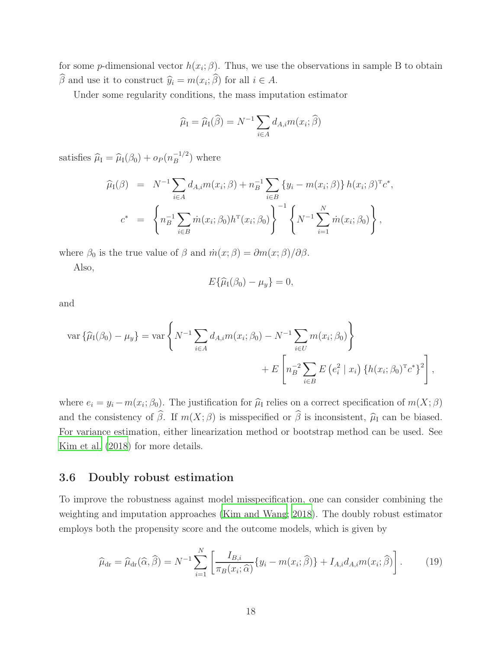for some *p*-dimensional vector  $h(x_i; \beta)$ . Thus, we use the observations in sample B to obtain  $\beta$  and use it to construct  $\widehat{y}_i = m(x_i; \beta)$  for all  $i \in A$ .

Under some regularity conditions, the mass imputation estimator

$$
\widehat{\mu}_I = \widehat{\mu}_I(\widehat{\beta}) = N^{-1} \sum_{i \in A} d_{A,i} m(x_i; \widehat{\beta})
$$

satisfies  $\widehat{\mu}_{\text{I}} = \widehat{\mu}_{\text{I}}(\beta_0) + o_P (n_B^{-1/2})$  $\binom{-1/2}{B}$  where

$$
\widehat{\mu}_{I}(\beta) = N^{-1} \sum_{i \in A} d_{A,i} m(x_i; \beta) + n_B^{-1} \sum_{i \in B} \{y_i - m(x_i; \beta)\} h(x_i; \beta)^{\mathrm{T}} c^*,
$$
\n
$$
c^* = \left\{ n_B^{-1} \sum_{i \in B} \dot{m}(x_i; \beta_0) h^{\mathrm{T}}(x_i; \beta_0) \right\}^{-1} \left\{ N^{-1} \sum_{i=1}^N \dot{m}(x_i; \beta_0) \right\},
$$

where  $\beta_0$  is the true value of  $\beta$  and  $\dot{m}(x;\beta) = \partial m(x;\beta)/\partial \beta$ .

Also,

$$
E\{\widehat{\mu}_I(\beta_0)-\mu_y\}=0,
$$

and

$$
\text{var}\left\{\widehat{\mu}_{I}(\beta_{0})-\mu_{y}\right\}=\text{var}\left\{N^{-1}\sum_{i\in A}d_{A,i}m(x_{i};\beta_{0})-N^{-1}\sum_{i\in U}m(x_{i};\beta_{0})\right\}
$$

$$
+E\left[n_{B}^{-2}\sum_{i\in B}E\left(e_{i}^{2} \mid x_{i}\right)\left\{h(x_{i};\beta_{0})^{T}c^{*}\right\}^{2}\right],
$$

where  $e_i = y_i - m(x_i; \beta_0)$ . The justification for  $\hat{\mu}_I$  relies on a correct specification of  $m(X; \beta)$ and the consistency of  $\widehat{\beta}$ . If  $m(X; \beta)$  is misspecified or  $\widehat{\beta}$  is inconsistent,  $\widehat{\mu}_I$  can be biased. For variance estimation, either linearization method or bootstrap method can be used. See [Kim et al. \(2018\)](#page-28-8) for more details.

#### 3.6 Doubly robust estimation

To improve the robustness against model misspecification, one can consider combining the weighting and imputation approaches [\(Kim and Wang; 2018](#page-28-10)). The doubly robust estimator employs both the propensity score and the outcome models, which is given by

<span id="page-17-0"></span>
$$
\widehat{\mu}_{\rm dr} = \widehat{\mu}_{\rm dr}(\widehat{\alpha}, \widehat{\beta}) = N^{-1} \sum_{i=1}^{N} \left[ \frac{I_{B,i}}{\pi_B(x_i; \widehat{\alpha})} \{ y_i - m(x_i; \widehat{\beta}) \} + I_{A,i} d_{A,i} m(x_i; \widehat{\beta}) \right]. \tag{19}
$$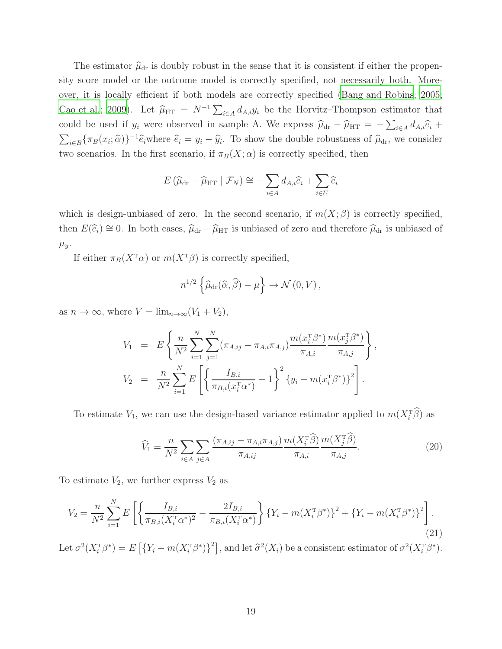The estimator  $\hat{\mu}_{dr}$  is doubly robust in the sense that it is consistent if either the propensity score model or the outcome model is correctly specified, not necessarily both. Moreover, it is locally efficient if both models are correctly specified [\(Bang and Robins; 2005;](#page-25-6) [Cao et al.](#page-26-9); [2009](#page-26-9)). Let  $\hat{\mu}_{HT} = N^{-1} \sum_{i \in A} d_{A,i} y_i$  be the Horvitz–Thompson estimator that could be used if  $y_i$  were observed in sample A. We express  $\hat{\mu}_{dr} - \hat{\mu}_{HT} = -\sum_{i \in A} d_{A,i} \hat{e}_i +$  $\sum_{i\in B} {\{\pi_B(x_i;\hat{\alpha})\}}^{-1} \hat{e}_i$  where  $\hat{e}_i = y_i - \hat{y}_i$ . To show the double robustness of  $\hat{\mu}_{dr}$ , we consider two scenarios. In the first scenario, if  $\pi_B(X; \alpha)$  is correctly specified, then

$$
E(\widehat{\mu}_{\mathrm{dr}} - \widehat{\mu}_{\mathrm{HT}} | \mathcal{F}_N) \cong -\sum_{i \in A} d_{A,i} \widehat{e}_i + \sum_{i \in U} \widehat{e}_i
$$

which is design-unbiased of zero. In the second scenario, if  $m(X; \beta)$  is correctly specified, then  $E(\hat{\epsilon}_i) \cong 0$ . In both cases,  $\hat{\mu}_{dr} - \hat{\mu}_{HT}$  is unbiased of zero and therefore  $\hat{\mu}_{dr}$  is unbiased of  $\mu_y$ .

If either  $\pi_B(X^{\mathsf{T}}\alpha)$  or  $m(X^{\mathsf{T}}\beta)$  is correctly specified,

$$
n^{1/2}\left\{\widehat{\mu}_{\mathrm{dr}}(\widehat{\alpha},\widehat{\beta})-\mu\right\}\to\mathcal{N}\left(0,V\right),\,
$$

as  $n \to \infty$ , where  $V = \lim_{n \to \infty} (V_1 + V_2)$ ,

$$
V_1 = E\left\{\frac{n}{N^2} \sum_{i=1}^N \sum_{j=1}^N (\pi_{A,ij} - \pi_{A,i}\pi_{A,j}) \frac{m(x_i^T \beta^*)}{\pi_{A,i}} \frac{m(x_j^T \beta^*)}{\pi_{A,j}}\right\},
$$
  

$$
V_2 = \frac{n}{N^2} \sum_{i=1}^N E\left[\left\{\frac{I_{B,i}}{\pi_{B,i}(x_i^T \alpha^*)} - 1\right\}^2 \{y_i - m(x_i^T \beta^*)\}^2\right].
$$

To estimate  $V_1$ , we can use the design-based variance estimator applied to  $m(X_i^T\hat{\beta})$  as

<span id="page-18-0"></span>
$$
\widehat{V}_1 = \frac{n}{N^2} \sum_{i \in A} \sum_{j \in A} \frac{(\pi_{A,ij} - \pi_{A,i} \pi_{A,j})}{\pi_{A,ij}} \frac{m(X_i^T \widehat{\beta})}{\pi_{A,i}} \frac{m(X_j^T \widehat{\beta})}{\pi_{A,j}}.
$$
\n(20)

To estimate  $V_2$ , we further express  $V_2$  as

$$
V_2 = \frac{n}{N^2} \sum_{i=1}^{N} E\left[ \left\{ \frac{I_{B,i}}{\pi_{B,i}(X_i^{\mathrm{T}} \alpha^*)^2} - \frac{2I_{B,i}}{\pi_{B,i}(X_i^{\mathrm{T}} \alpha^*)} \right\} \left\{ Y_i - m(X_i^{\mathrm{T}} \beta^*) \right\}^2 + \left\{ Y_i - m(X_i^{\mathrm{T}} \beta^*) \right\}^2 \right].
$$
\n(21)

Let  $\sigma^2(X_i^T \beta^*) = E\left[\{Y_i - m(X_i^T \beta^*)\}^2\right]$ , and let  $\hat{\sigma}^2(X_i)$  be a consistent estimator of  $\sigma^2(X_i^T \beta^*)$ .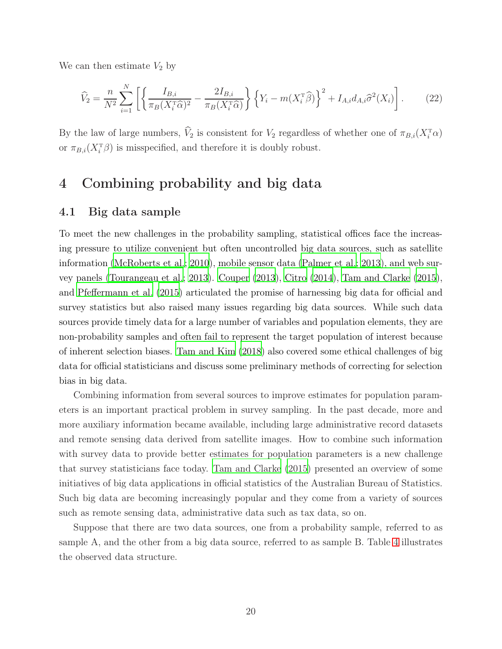We can then estimate  $V_2$  by

<span id="page-19-1"></span>
$$
\widehat{V}_2 = \frac{n}{N^2} \sum_{i=1}^N \left[ \left\{ \frac{I_{B,i}}{\pi_B (X_i^{\mathrm{T}} \widehat{\alpha})^2} - \frac{2I_{B,i}}{\pi_B (X_i^{\mathrm{T}} \widehat{\alpha})} \right\} \left\{ Y_i - m(X_i^{\mathrm{T}} \widehat{\beta}) \right\}^2 + I_{A,i} d_{A,i} \widehat{\sigma}^2(X_i) \right]. \tag{22}
$$

By the law of large numbers,  $\hat{V}_2$  is consistent for  $V_2$  regardless of whether one of  $\pi_{B,i}(X_i^{\mathsf{T}}\alpha)$ or  $\pi_{B,i}(X_i^{\mathrm{T}}\beta)$  is misspecified, and therefore it is doubly robust.

# <span id="page-19-0"></span>4 Combining probability and big data

#### 4.1 Big data sample

To meet the new challenges in the probability sampling, statistical offices face the increasing pressure to utilize convenient but often uncontrolled big data sources, such as satellite information [\(McRoberts et al.](#page-29-8); [2010](#page-29-8)), mobile sensor data [\(Palmer et al.](#page-29-9); [2013](#page-29-9)), and web survey panels [\(Tourangeau et al.](#page-31-9); [2013\)](#page-31-9). [Couper \(2013\)](#page-26-10), [Citro](#page-26-11) [\(2014\)](#page-26-11), [Tam and Clarke \(2015](#page-30-10)), and [Pfeffermann et al. \(2015\)](#page-29-10) articulated the promise of harnessing big data for official and survey statistics but also raised many issues regarding big data sources. While such data sources provide timely data for a large number of variables and population elements, they are non-probability samples and often fail to represent the target population of interest because of inherent selection biases. [Tam and Kim \(2018\)](#page-30-11) also covered some ethical challenges of big data for official statisticians and discuss some preliminary methods of correcting for selection bias in big data.

Combining information from several sources to improve estimates for population parameters is an important practical problem in survey sampling. In the past decade, more and more auxiliary information became available, including large administrative record datasets and remote sensing data derived from satellite images. How to combine such information with survey data to provide better estimates for population parameters is a new challenge that survey statisticians face today. [Tam and Clarke \(2015](#page-30-10)) presented an overview of some initiatives of big data applications in official statistics of the Australian Bureau of Statistics. Such big data are becoming increasingly popular and they come from a variety of sources such as remote sensing data, administrative data such as tax data, so on.

Suppose that there are two data sources, one from a probability sample, referred to as sample A, and the other from a big data source, referred to as sample B. Table [4](#page-20-0) illustrates the observed data structure.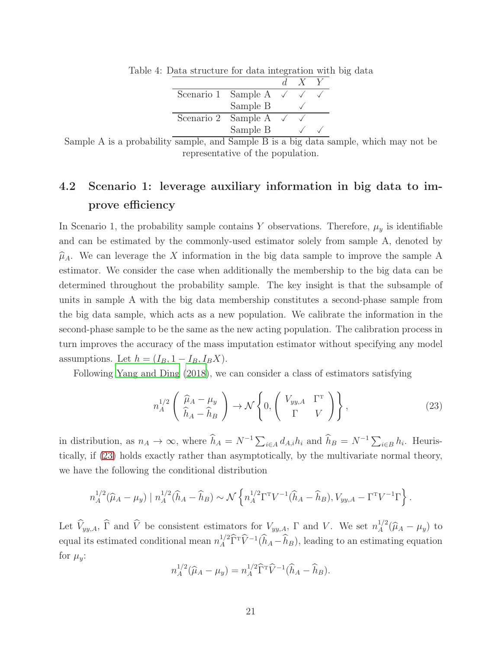<span id="page-20-0"></span>

| Scenario 1 Sample A |          |  |  |
|---------------------|----------|--|--|
|                     | Sample B |  |  |
| Scenario 2 Sample A |          |  |  |
|                     | Sample B |  |  |

Table 4: Data structure for data integration with big data

# 4.2 Scenario 1: leverage auxiliary information in big data to improve efficiency

In Scenario 1, the probability sample contains Y observations. Therefore,  $\mu_y$  is identifiable and can be estimated by the commonly-used estimator solely from sample A, denoted by  $\hat{\mu}_A$ . We can leverage the X information in the big data sample to improve the sample A estimator. We consider the case when additionally the membership to the big data can be determined throughout the probability sample. The key insight is that the subsample of units in sample A with the big data membership constitutes a second-phase sample from the big data sample, which acts as a new population. We calibrate the information in the second-phase sample to be the same as the new acting population. The calibration process in turn improves the accuracy of the mass imputation estimator without specifying any model assumptions. Let  $h = (I_B, 1 - I_B, I_B X)$ .

Following [Yang and Ding \(2018](#page-31-10)), we can consider a class of estimators satisfying

<span id="page-20-1"></span>
$$
n_A^{1/2} \left( \begin{array}{c} \widehat{\mu}_A - \mu_y \\ \widehat{h}_A - \widehat{h}_B \end{array} \right) \to \mathcal{N} \left\{ 0, \left( \begin{array}{cc} V_{yy,A} & \Gamma^{\mathrm{T}} \\ \Gamma & V \end{array} \right) \right\},\tag{23}
$$

in distribution, as  $n_A \to \infty$ , where  $\hat{h}_A = N^{-1} \sum_{i \in A} d_{A,i} h_i$  and  $\hat{h}_B = N^{-1} \sum_{i \in B} h_i$ . Heuristically, if [\(23\)](#page-20-1) holds exactly rather than asymptotically, by the multivariate normal theory, we have the following the conditional distribution

$$
n_A^{1/2}(\widehat{\mu}_A - \mu_y) | n_A^{1/2}(\widehat{h}_A - \widehat{h}_B) \sim \mathcal{N}\left\{ n_A^{1/2}\Gamma^{\mathrm{T}}V^{-1}(\widehat{h}_A - \widehat{h}_B), V_{yy,A} - \Gamma^{\mathrm{T}}V^{-1}\Gamma \right\}.
$$

Let  $\widehat{V}_{yy,A}$ ,  $\widehat{\Gamma}$  and  $\widehat{V}$  be consistent estimators for  $V_{yy,A}$ ,  $\Gamma$  and  $V$ . We set  $n_A^{1/2}$  $A^{1/2}(\widehat{\mu}_A - \mu_y)$  to equal its estimated conditional mean  $n_A^{1/2} \hat{\Gamma}^T \hat{V}^{-1} (\hat{h}_A - \hat{h}_B)$ , leading to an estimating equation for  $\mu_y$ :

$$
n_A^{1/2}(\widehat{\mu}_A - \mu_y) = n_A^{1/2} \widehat{\Gamma}^{\mathrm{T}} \widehat{V}^{-1} (\widehat{h}_A - \widehat{h}_B).
$$

Sample A is a probability sample, and Sample B is a big data sample, which may not be representative of the population.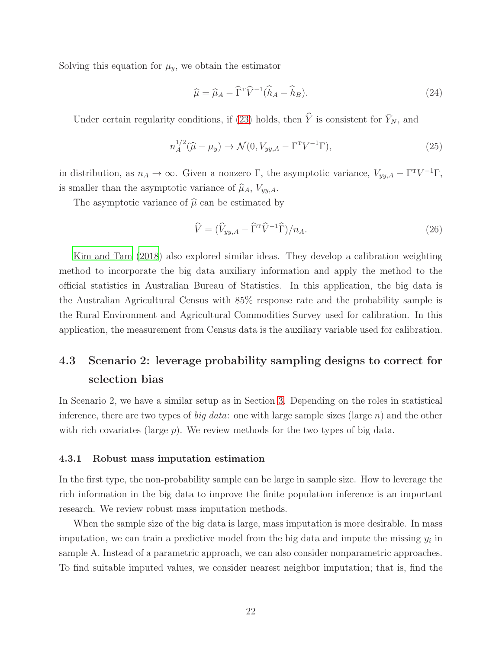Solving this equation for  $\mu_y$ , we obtain the estimator

$$
\widehat{\mu} = \widehat{\mu}_A - \widehat{\Gamma}^{\mathrm{T}} \widehat{V}^{-1} (\widehat{h}_A - \widehat{h}_B). \tag{24}
$$

Under certain regularity conditions, if [\(23\)](#page-20-1) holds, then  $\hat{Y}$  is consistent for  $\bar{Y}_N$ , and

$$
n_A^{1/2}(\widehat{\mu} - \mu_y) \to \mathcal{N}(0, V_{yy,A} - \Gamma^{\mathrm{T}} V^{-1} \Gamma), \tag{25}
$$

in distribution, as  $n_A \to \infty$ . Given a nonzero Γ, the asymptotic variance,  $V_{yy,A} - \Gamma^{T}V^{-1}\Gamma$ , is smaller than the asymptotic variance of  $\widehat{\mu}_A$ ,  $V_{yy,A}$ .

The asymptotic variance of  $\hat{\mu}$  can be estimated by

$$
\widehat{V} = (\widehat{V}_{yy,A} - \widehat{\Gamma}^{\mathrm{T}} \widehat{V}^{-1} \widehat{\Gamma})/n_A.
$$
\n(26)

[Kim and Tam \(2018\)](#page-28-11) also explored similar ideas. They develop a calibration weighting method to incorporate the big data auxiliary information and apply the method to the official statistics in Australian Bureau of Statistics. In this application, the big data is the Australian Agricultural Census with 85% response rate and the probability sample is the Rural Environment and Agricultural Commodities Survey used for calibration. In this application, the measurement from Census data is the auxiliary variable used for calibration.

# 4.3 Scenario 2: leverage probability sampling designs to correct for selection bias

In Scenario 2, we have a similar setup as in Section [3.](#page-10-0) Depending on the roles in statistical inference, there are two types of *big data*: one with large sample sizes (large  $n$ ) and the other with rich covariates (large p). We review methods for the two types of big data.

#### 4.3.1 Robust mass imputation estimation

In the first type, the non-probability sample can be large in sample size. How to leverage the rich information in the big data to improve the finite population inference is an important research. We review robust mass imputation methods.

When the sample size of the big data is large, mass imputation is more desirable. In mass imputation, we can train a predictive model from the big data and impute the missing  $y_i$  in sample A. Instead of a parametric approach, we can also consider nonparametric approaches. To find suitable imputed values, we consider nearest neighbor imputation; that is, find the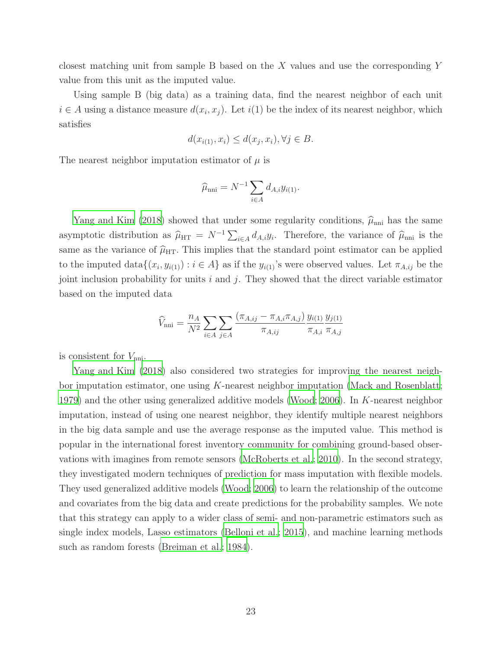closest matching unit from sample B based on the X values and use the corresponding Y value from this unit as the imputed value.

Using sample B (big data) as a training data, find the nearest neighbor of each unit  $i \in A$  using a distance measure  $d(x_i, x_j)$ . Let  $i(1)$  be the index of its nearest neighbor, which satisfies

$$
d(x_{i(1)}, x_i) \le d(x_j, x_i), \forall j \in B.
$$

The nearest neighbor imputation estimator of  $\mu$  is

$$
\widehat{\mu}_{\rm nni} = N^{-1} \sum_{i \in A} d_{A,i} y_{i(1)}.
$$

[Yang and Kim \(2018\)](#page-31-5) showed that under some regularity conditions,  $\hat{\mu}_{nni}$  has the same asymptotic distribution as  $\hat{\mu}_{\text{HT}} = N^{-1} \sum_{i \in A} d_{A,i} y_i$ . Therefore, the variance of  $\hat{\mu}_{\text{nni}}$  is the same as the variance of  $\hat{\mu}_{\text{HT}}$ . This implies that the standard point estimator can be applied to the imputed  $data{(x_i, y_{i(1)}) : i \in A}$  as if the  $y_{i(1)}$ 's were observed values. Let  $\pi_{A,ij}$  be the joint inclusion probability for units  $i$  and  $j$ . They showed that the direct variable estimator based on the imputed data

$$
\widehat{V}_{\text{nni}} = \frac{n_A}{N^2} \sum_{i \in A} \sum_{j \in A} \frac{(\pi_{A,ij} - \pi_{A,i} \pi_{A,j})}{\pi_{A,ij}} \frac{y_{i(1)}}{\pi_{A,i}} \frac{y_{j(1)}}{\pi_{A,j}}
$$

is consistent for  $V_{\text{nni}}$ .

[Yang and Kim \(2018\)](#page-31-5) also considered two strategies for improving the nearest neighbor imputation estimator, one using  $K$ -nearest neighbor imputation [\(Mack and Rosenblatt;](#page-28-12) [1979\)](#page-28-12) and the other using generalized additive models [\(Wood; 2006\)](#page-31-11). In K-nearest neighbor imputation, instead of using one nearest neighbor, they identify multiple nearest neighbors in the big data sample and use the average response as the imputed value. This method is popular in the international forest inventory community for combining ground-based observations with imagines from remote sensors [\(McRoberts et al.; 2010\)](#page-29-8). In the second strategy, they investigated modern techniques of prediction for mass imputation with flexible models. They used generalized additive models [\(Wood; 2006\)](#page-31-11) to learn the relationship of the outcome and covariates from the big data and create predictions for the probability samples. We note that this strategy can apply to a wider class of semi- and non-parametric estimators such as single index models, Lasso estimators [\(Belloni et al.](#page-25-7); [2015](#page-25-7)), and machine learning methods such as random forests [\(Breiman et al.](#page-25-8); [1984\)](#page-25-8).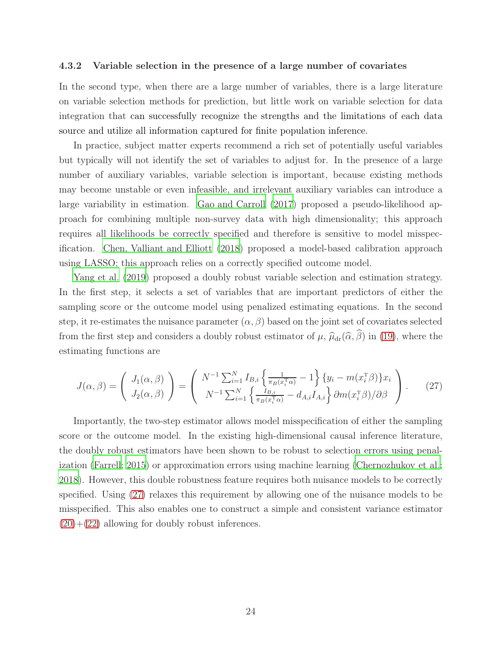#### 4.3.2 Variable selection in the presence of a large number of covariates

In the second type, when there are a large number of variables, there is a large literature on variable selection methods for prediction, but little work on variable selection for data integration that can successfully recognize the strengths and the limitations of each data source and utilize all information captured for finite population inference.

In practice, subject matter experts recommend a rich set of potentially useful variables but typically will not identify the set of variables to adjust for. In the presence of a large number of auxiliary variables, variable selection is important, because existing methods may become unstable or even infeasible, and irrelevant auxiliary variables can introduce a large variability in estimation. [Gao and Carroll \(2017](#page-27-11)) proposed a pseudo-likelihood approach for combining multiple non-survey data with high dimensionality; this approach requires all likelihoods be correctly specified and therefore is sensitive to model misspecification. [Chen, Valliant and Elliott \(2018](#page-26-6)) proposed a model-based calibration approach using LASSO; this approach relies on a correctly specified outcome model.

[Yang et al. \(2019\)](#page-31-6) proposed a doubly robust variable selection and estimation strategy. In the first step, it selects a set of variables that are important predictors of either the sampling score or the outcome model using penalized estimating equations. In the second step, it re-estimates the nuisance parameter  $(\alpha, \beta)$  based on the joint set of covariates selected from the first step and considers a doubly robust estimator of  $\mu$ ,  $\hat{\mu}_{dr}(\hat{\alpha}, \hat{\beta})$  in [\(19\)](#page-17-0), where the estimating functions are

<span id="page-23-0"></span>
$$
J(\alpha,\beta) = \begin{pmatrix} J_1(\alpha,\beta) \\ J_2(\alpha,\beta) \end{pmatrix} = \begin{pmatrix} N^{-1} \sum_{i=1}^N I_{B,i} \left\{ \frac{1}{\pi_B(x_i^T \alpha)} - 1 \right\} \left\{ y_i - m(x_i^T \beta) \right\} x_i \\ N^{-1} \sum_{i=1}^N \left\{ \frac{I_{B,i}}{\pi_B(x_i^T \alpha)} - d_{A,i} I_{A,i} \right\} \partial m(x_i^T \beta) / \partial \beta \end{pmatrix} . \tag{27}
$$

Importantly, the two-step estimator allows model misspecification of either the sampling score or the outcome model. In the existing high-dimensional causal inference literature, the doubly robust estimators have been shown to be robust to selection errors using penalization [\(Farrell; 2015\)](#page-27-12) or approximation errors using machine learning [\(Chernozhukov et al.;](#page-26-12) [2018\)](#page-26-12). However, this double robustness feature requires both nuisance models to be correctly specified. Using [\(27\)](#page-23-0) relaxes this requirement by allowing one of the nuisance models to be misspecified. This also enables one to construct a simple and consistent variance estimator  $(20)+(22)$  $(20)+(22)$  $(20)+(22)$  allowing for doubly robust inferences.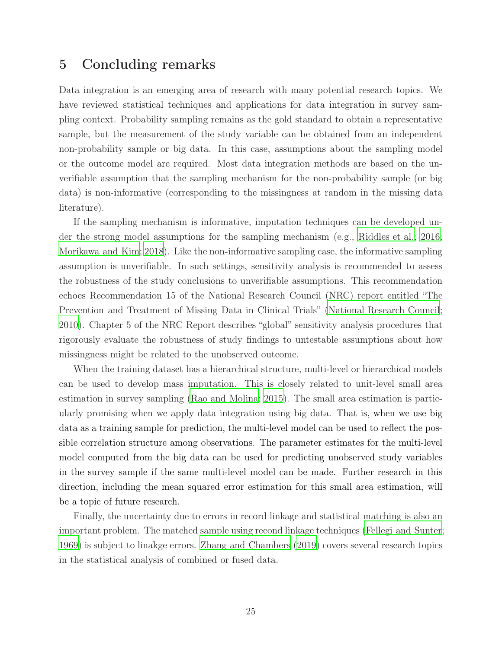### <span id="page-24-0"></span>5 Concluding remarks

Data integration is an emerging area of research with many potential research topics. We have reviewed statistical techniques and applications for data integration in survey sampling context. Probability sampling remains as the gold standard to obtain a representative sample, but the measurement of the study variable can be obtained from an independent non-probability sample or big data. In this case, assumptions about the sampling model or the outcome model are required. Most data integration methods are based on the unverifiable assumption that the sampling mechanism for the non-probability sample (or big data) is non-informative (corresponding to the missingness at random in the missing data literature).

If the sampling mechanism is informative, imputation techniques can be developed under the strong model assumptions for the sampling mechanism (e.g., [Riddles et al.](#page-30-12); [2016;](#page-30-12) [Morikawa and Kim](#page-29-11); [2018\)](#page-29-11). Like the non-informative sampling case, the informative sampling assumption is unverifiable. In such settings, sensitivity analysis is recommended to assess the robustness of the study conclusions to unverifiable assumptions. This recommendation echoes Recommendation 15 of the National Research Council (NRC) report entitled "The Prevention and Treatment of Missing Data in Clinical Trials" [\(National Research Council;](#page-29-12) [2010\)](#page-29-12). Chapter 5 of the NRC Report describes "global" sensitivity analysis procedures that rigorously evaluate the robustness of study findings to untestable assumptions about how missingness might be related to the unobserved outcome.

When the training dataset has a hierarchical structure, multi-level or hierarchical models can be used to develop mass imputation. This is closely related to unit-level small area estimation in survey sampling [\(Rao and Molina](#page-30-13); [2015\)](#page-30-13). The small area estimation is particularly promising when we apply data integration using big data. That is, when we use big data as a training sample for prediction, the multi-level model can be used to reflect the possible correlation structure among observations. The parameter estimates for the multi-level model computed from the big data can be used for predicting unobserved study variables in the survey sample if the same multi-level model can be made. Further research in this direction, including the mean squared error estimation for this small area estimation, will be a topic of future research.

Finally, the uncertainty due to errors in record linkage and statistical matching is also an important problem. The matched sample using recond linkage techniques [\(Fellegi and Sunter](#page-27-13); [1969\)](#page-27-13) is subject to linakge errors. [Zhang and Chambers \(2019\)](#page-32-4) covers several research topics in the statistical analysis of combined or fused data.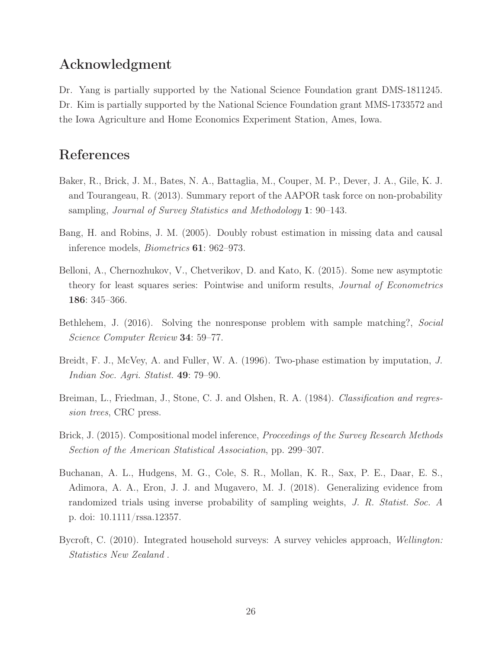### Acknowledgment

Dr. Yang is partially supported by the National Science Foundation grant DMS-1811245. Dr. Kim is partially supported by the National Science Foundation grant MMS-1733572 and the Iowa Agriculture and Home Economics Experiment Station, Ames, Iowa.

# References

- <span id="page-25-0"></span>Baker, R., Brick, J. M., Bates, N. A., Battaglia, M., Couper, M. P., Dever, J. A., Gile, K. J. and Tourangeau, R. (2013). Summary report of the AAPOR task force on non-probability sampling, *Journal of Survey Statistics and Methodology* 1: 90–143.
- <span id="page-25-6"></span>Bang, H. and Robins, J. M. (2005). Doubly robust estimation in missing data and causal inference models, *Biometrics* 61: 962–973.
- <span id="page-25-7"></span>Belloni, A., Chernozhukov, V., Chetverikov, D. and Kato, K. (2015). Some new asymptotic theory for least squares series: Pointwise and uniform results, *Journal of Econometrics* 186: 345–366.
- <span id="page-25-3"></span>Bethlehem, J. (2016). Solving the nonresponse problem with sample matching?, *Social Science Computer Review* 34: 59–77.
- <span id="page-25-2"></span>Breidt, F. J., McVey, A. and Fuller, W. A. (1996). Two-phase estimation by imputation, *J. Indian Soc. Agri. Statist.* 49: 79–90.
- <span id="page-25-8"></span>Breiman, L., Friedman, J., Stone, C. J. and Olshen, R. A. (1984). *Classification and regression trees*, CRC press.
- <span id="page-25-4"></span>Brick, J. (2015). Compositional model inference, *Proceedings of the Survey Research Methods Section of the American Statistical Association*, pp. 299–307.
- <span id="page-25-5"></span>Buchanan, A. L., Hudgens, M. G., Cole, S. R., Mollan, K. R., Sax, P. E., Daar, E. S., Adimora, A. A., Eron, J. J. and Mugavero, M. J. (2018). Generalizing evidence from randomized trials using inverse probability of sampling weights, *J. R. Statist. Soc. A* p. doi: 10.1111/rssa.12357.
- <span id="page-25-1"></span>Bycroft, C. (2010). Integrated household surveys: A survey vehicles approach, *Wellington: Statistics New Zealand* .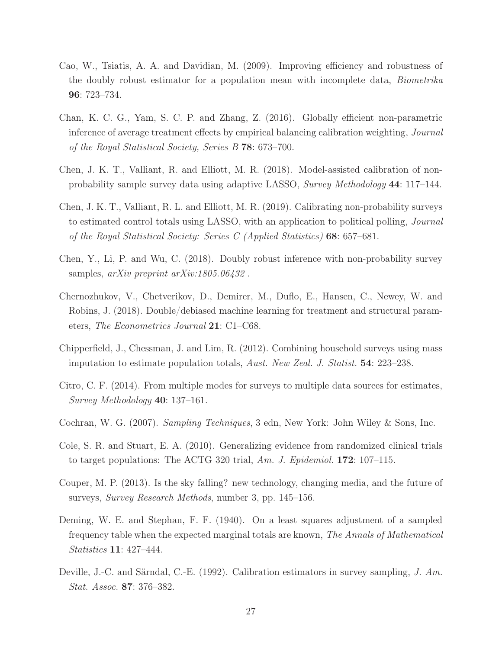- <span id="page-26-9"></span>Cao, W., Tsiatis, A. A. and Davidian, M. (2009). Improving efficiency and robustness of the doubly robust estimator for a population mean with incomplete data, *Biometrika* 96: 723–734.
- <span id="page-26-8"></span>Chan, K. C. G., Yam, S. C. P. and Zhang, Z. (2016). Globally efficient non-parametric inference of average treatment effects by empirical balancing calibration weighting, *Journal of the Royal Statistical Society, Series B* 78: 673–700.
- <span id="page-26-6"></span>Chen, J. K. T., Valliant, R. and Elliott, M. R. (2018). Model-assisted calibration of nonprobability sample survey data using adaptive LASSO, *Survey Methodology* 44: 117–144.
- <span id="page-26-7"></span>Chen, J. K. T., Valliant, R. L. and Elliott, M. R. (2019). Calibrating non-probability surveys to estimated control totals using LASSO, with an application to political polling, *Journal of the Royal Statistical Society: Series C (Applied Statistics)* 68: 657–681.
- <span id="page-26-3"></span>Chen, Y., Li, P. and Wu, C. (2018). Doubly robust inference with non-probability survey samples, *arXiv preprint arXiv:1805.06432* .
- <span id="page-26-12"></span>Chernozhukov, V., Chetverikov, D., Demirer, M., Duflo, E., Hansen, C., Newey, W. and Robins, J. (2018). Double/debiased machine learning for treatment and structural parameters, *The Econometrics Journal* 21: C1–C68.
- <span id="page-26-2"></span>Chipperfield, J., Chessman, J. and Lim, R. (2012). Combining household surveys using mass imputation to estimate population totals, *Aust. New Zeal. J. Statist.* 54: 223–238.
- <span id="page-26-11"></span>Citro, C. F. (2014). From multiple modes for surveys to multiple data sources for estimates, *Survey Methodology* 40: 137–161.
- <span id="page-26-0"></span>Cochran, W. G. (2007). *Sampling Techniques*, 3 edn, New York: John Wiley & Sons, Inc.
- <span id="page-26-5"></span>Cole, S. R. and Stuart, E. A. (2010). Generalizing evidence from randomized clinical trials to target populations: The ACTG 320 trial, *Am. J. Epidemiol.* 172: 107–115.
- <span id="page-26-10"></span>Couper, M. P. (2013). Is the sky falling? new technology, changing media, and the future of surveys, *Survey Research Methods*, number 3, pp. 145–156.
- <span id="page-26-1"></span>Deming, W. E. and Stephan, F. F. (1940). On a least squares adjustment of a sampled frequency table when the expected marginal totals are known, *The Annals of Mathematical Statistics* 11: 427–444.
- <span id="page-26-4"></span>Deville, J.-C. and Särndal, C.-E. (1992). Calibration estimators in survey sampling, *J. Am. Stat. Assoc.* 87: 376–382.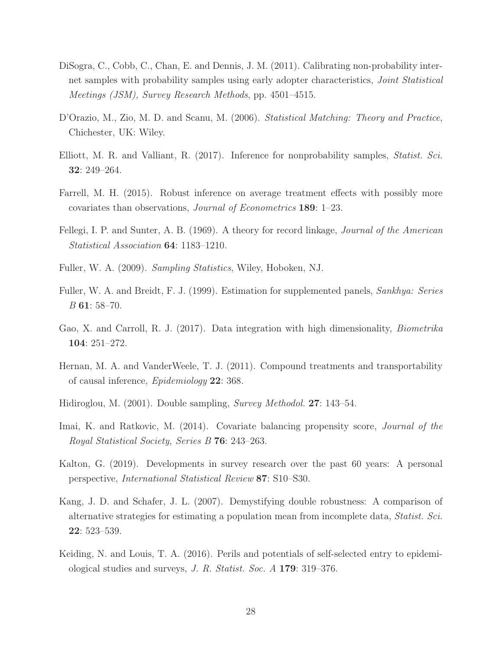- <span id="page-27-8"></span>DiSogra, C., Cobb, C., Chan, E. and Dennis, J. M. (2011). Calibrating non-probability internet samples with probability samples using early adopter characteristics, *Joint Statistical Meetings (JSM), Survey Research Methods*, pp. 4501–4515.
- <span id="page-27-5"></span>D'Orazio, M., Zio, M. D. and Scanu, M. (2006). *Statistical Matching: Theory and Practice*, Chichester, UK: Wiley.
- <span id="page-27-6"></span>Elliott, M. R. and Valliant, R. (2017). Inference for nonprobability samples, *Statist. Sci.* 32: 249–264.
- <span id="page-27-12"></span>Farrell, M. H. (2015). Robust inference on average treatment effects with possibly more covariates than observations, *Journal of Econometrics* 189: 1–23.
- <span id="page-27-13"></span>Fellegi, I. P. and Sunter, A. B. (1969). A theory for record linkage, *Journal of the American Statistical Association* 64: 1183–1210.
- <span id="page-27-0"></span>Fuller, W. A. (2009). *Sampling Statistics*, Wiley, Hoboken, NJ.
- <span id="page-27-4"></span>Fuller, W. A. and Breidt, F. J. (1999). Estimation for supplemented panels, *Sankhya: Series B* 61: 58–70.
- <span id="page-27-11"></span>Gao, X. and Carroll, R. J. (2017). Data integration with high dimensionality, *Biometrika* 104: 251–272.
- <span id="page-27-9"></span>Hernan, M. A. and VanderWeele, T. J. (2011). Compound treatments and transportability of causal inference, *Epidemiology* 22: 368.
- <span id="page-27-3"></span>Hidiroglou, M. (2001). Double sampling, *Survey Methodol.* 27: 143–54.
- <span id="page-27-10"></span>Imai, K. and Ratkovic, M. (2014). Covariate balancing propensity score, *Journal of the Royal Statistical Society, Series B* 76: 243–263.
- <span id="page-27-1"></span>Kalton, G. (2019). Developments in survey research over the past 60 years: A personal perspective, *International Statistical Review* 87: S10–S30.
- <span id="page-27-7"></span>Kang, J. D. and Schafer, J. L. (2007). Demystifying double robustness: A comparison of alternative strategies for estimating a population mean from incomplete data, *Statist. Sci.* 22: 523–539.
- <span id="page-27-2"></span>Keiding, N. and Louis, T. A. (2016). Perils and potentials of self-selected entry to epidemiological studies and surveys, *J. R. Statist. Soc. A* 179: 319–376.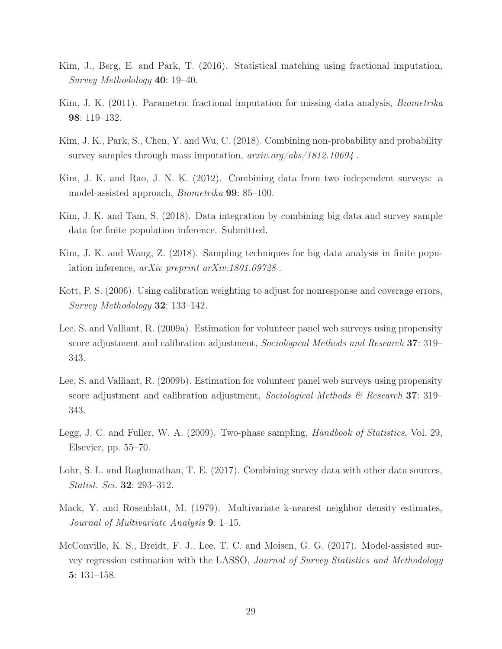- <span id="page-28-3"></span>Kim, J., Berg, E. and Park, T. (2016). Statistical matching using fractional imputation, *Survey Methodology* 40: 19–40.
- <span id="page-28-2"></span>Kim, J. K. (2011). Parametric fractional imputation for missing data analysis, *Biometrika* 98: 119–132.
- <span id="page-28-8"></span>Kim, J. K., Park, S., Chen, Y. and Wu, C. (2018). Combining non-probability and probability survey samples through mass imputation, *arxiv.org/abs/1812.10694* .
- <span id="page-28-1"></span>Kim, J. K. and Rao, J. N. K. (2012). Combining data from two independent surveys: a model-assisted approach, *Biometrika* 99: 85–100.
- <span id="page-28-11"></span>Kim, J. K. and Tam, S. (2018). Data integration by combining big data and survey sample data for finite population inference. Submitted.
- <span id="page-28-10"></span>Kim, J. K. and Wang, Z. (2018). Sampling techniques for big data analysis in finite population inference, *arXiv preprint arXiv:1801.09728* .
- <span id="page-28-7"></span>Kott, P. S. (2006). Using calibration weighting to adjust for nonresponse and coverage errors, *Survey Methodology* 32: 133–142.
- <span id="page-28-4"></span>Lee, S. and Valliant, R. (2009a). Estimation for volunteer panel web surveys using propensity score adjustment and calibration adjustment, *Sociological Methods and Research* 37: 319– 343.
- <span id="page-28-6"></span>Lee, S. and Valliant, R. (2009b). Estimation for volunteer panel web surveys using propensity score adjustment and calibration adjustment, *Sociological Methods & Research* 37: 319– 343.
- <span id="page-28-0"></span>Legg, J. C. and Fuller, W. A. (2009). Two-phase sampling, *Handbook of Statistics*, Vol. 29, Elsevier, pp. 55–70.
- <span id="page-28-5"></span>Lohr, S. L. and Raghunathan, T. E. (2017). Combining survey data with other data sources, *Statist. Sci.* 32: 293–312.
- <span id="page-28-12"></span>Mack, Y. and Rosenblatt, M. (1979). Multivariate k-nearest neighbor density estimates, *Journal of Multivariate Analysis* 9: 1–15.
- <span id="page-28-9"></span>McConville, K. S., Breidt, F. J., Lee, T. C. and Moisen, G. G. (2017). Model-assisted survey regression estimation with the LASSO, *Journal of Survey Statistics and Methodology* 5: 131–158.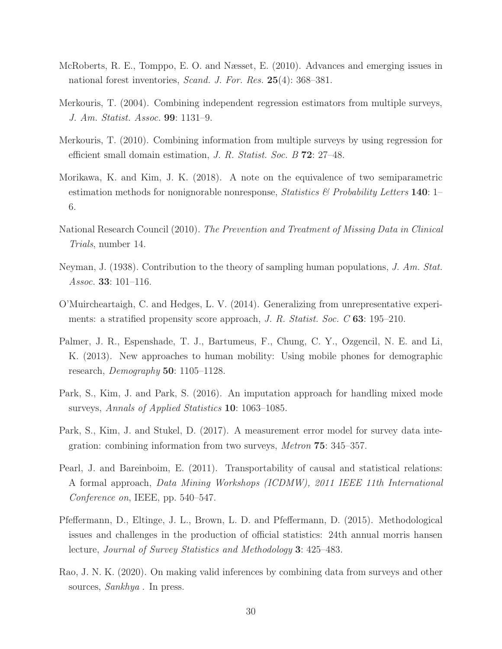- <span id="page-29-8"></span>McRoberts, R. E., Tomppo, E. O. and Næsset, E. (2010). Advances and emerging issues in national forest inventories, *Scand. J. For. Res.* 25(4): 368–381.
- <span id="page-29-1"></span>Merkouris, T. (2004). Combining independent regression estimators from multiple surveys, *J. Am. Statist. Assoc.* 99: 1131–9.
- <span id="page-29-2"></span>Merkouris, T. (2010). Combining information from multiple surveys by using regression for efficient small domain estimation, *J. R. Statist. Soc. B* 72: 27–48.
- <span id="page-29-11"></span>Morikawa, K. and Kim, J. K. (2018). A note on the equivalence of two semiparametric estimation methods for nonignorable nonresponse, *Statistics & Probability Letters* 140: 1– 6.
- <span id="page-29-12"></span>National Research Council (2010). *The Prevention and Treatment of Missing Data in Clinical Trials*, number 14.
- <span id="page-29-0"></span>Neyman, J. (1938). Contribution to the theory of sampling human populations, *J. Am. Stat. Assoc.* 33: 101–116.
- <span id="page-29-6"></span>O'Muircheartaigh, C. and Hedges, L. V. (2014). Generalizing from unrepresentative experiments: a stratified propensity score approach, *J. R. Statist. Soc. C* 63: 195–210.
- <span id="page-29-9"></span>Palmer, J. R., Espenshade, T. J., Bartumeus, F., Chung, C. Y., Ozgencil, N. E. and Li, K. (2013). New approaches to human mobility: Using mobile phones for demographic research, *Demography* 50: 1105–1128.
- <span id="page-29-3"></span>Park, S., Kim, J. and Park, S. (2016). An imputation approach for handling mixed mode surveys, *Annals of Applied Statistics* 10: 1063–1085.
- <span id="page-29-4"></span>Park, S., Kim, J. and Stukel, D. (2017). A measurement error model for survey data integration: combining information from two surveys, *Metron* 75: 345–357.
- <span id="page-29-7"></span>Pearl, J. and Bareinboim, E. (2011). Transportability of causal and statistical relations: A formal approach, *Data Mining Workshops (ICDMW), 2011 IEEE 11th International Conference on*, IEEE, pp. 540–547.
- <span id="page-29-10"></span>Pfeffermann, D., Eltinge, J. L., Brown, L. D. and Pfeffermann, D. (2015). Methodological issues and challenges in the production of official statistics: 24th annual morris hansen lecture, *Journal of Survey Statistics and Methodology* 3: 425–483.
- <span id="page-29-5"></span>Rao, J. N. K. (2020). On making valid inferences by combining data from surveys and other sources, *Sankhya* . In press.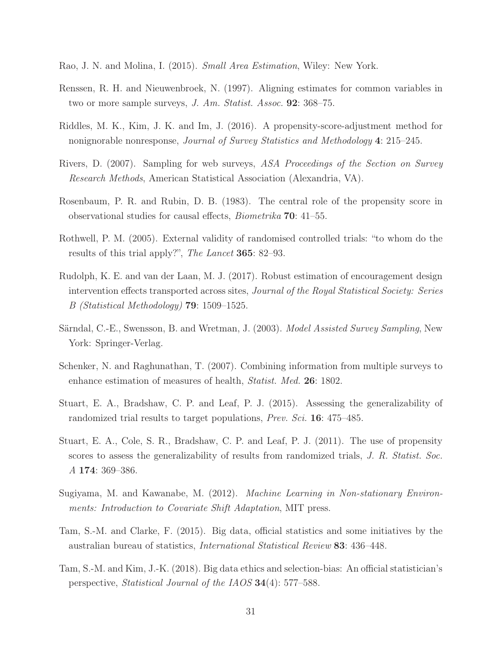- <span id="page-30-13"></span>Rao, J. N. and Molina, I. (2015). *Small Area Estimation*, Wiley: New York.
- <span id="page-30-1"></span>Renssen, R. H. and Nieuwenbroek, N. (1997). Aligning estimates for common variables in two or more sample surveys, *J. Am. Statist. Assoc.* 92: 368–75.
- <span id="page-30-12"></span>Riddles, M. K., Kim, J. K. and Im, J. (2016). A propensity-score-adjustment method for nonignorable nonresponse, *Journal of Survey Statistics and Methodology* 4: 215–245.
- <span id="page-30-2"></span>Rivers, D. (2007). Sampling for web surveys, *ASA Proceedings of the Section on Survey Research Methods*, American Statistical Association (Alexandria, VA).
- <span id="page-30-4"></span>Rosenbaum, P. R. and Rubin, D. B. (1983). The central role of the propensity score in observational studies for causal effects, *Biometrika* 70: 41–55.
- <span id="page-30-7"></span>Rothwell, P. M. (2005). External validity of randomised controlled trials: "to whom do the results of this trial apply?", *The Lancet* 365: 82–93.
- <span id="page-30-8"></span>Rudolph, K. E. and van der Laan, M. J. (2017). Robust estimation of encouragement design intervention effects transported across sites, *Journal of the Royal Statistical Society: Series B (Statistical Methodology)* 79: 1509–1525.
- <span id="page-30-0"></span>Särndal, C.-E., Swensson, B. and Wretman, J. (2003). *Model Assisted Survey Sampling*, New York: Springer-Verlag.
- <span id="page-30-3"></span>Schenker, N. and Raghunathan, T. (2007). Combining information from multiple surveys to enhance estimation of measures of health, *Statist. Med.* 26: 1802.
- <span id="page-30-6"></span>Stuart, E. A., Bradshaw, C. P. and Leaf, P. J. (2015). Assessing the generalizability of randomized trial results to target populations, *Prev. Sci.* 16: 475–485.
- <span id="page-30-5"></span>Stuart, E. A., Cole, S. R., Bradshaw, C. P. and Leaf, P. J. (2011). The use of propensity scores to assess the generalizability of results from randomized trials, *J. R. Statist. Soc. A* 174: 369–386.
- <span id="page-30-9"></span>Sugiyama, M. and Kawanabe, M. (2012). *Machine Learning in Non-stationary Environments: Introduction to Covariate Shift Adaptation*, MIT press.
- <span id="page-30-10"></span>Tam, S.-M. and Clarke, F. (2015). Big data, official statistics and some initiatives by the australian bureau of statistics, *International Statistical Review* 83: 436–448.
- <span id="page-30-11"></span>Tam, S.-M. and Kim, J.-K. (2018). Big data ethics and selection-bias: An official statistician's perspective, *Statistical Journal of the IAOS* 34(4): 577–588.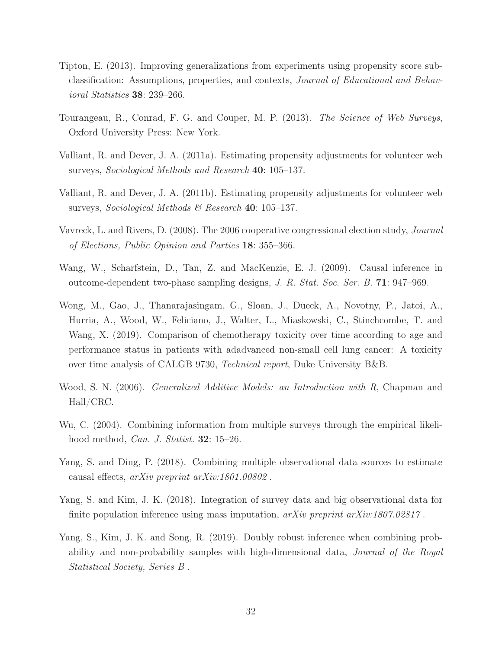- <span id="page-31-7"></span>Tipton, E. (2013). Improving generalizations from experiments using propensity score subclassification: Assumptions, properties, and contexts, *Journal of Educational and Behavioral Statistics* 38: 239–266.
- <span id="page-31-9"></span>Tourangeau, R., Conrad, F. G. and Couper, M. P. (2013). *The Science of Web Surveys*, Oxford University Press: New York.
- <span id="page-31-3"></span>Valliant, R. and Dever, J. A. (2011a). Estimating propensity adjustments for volunteer web surveys, *Sociological Methods and Research* 40: 105–137.
- <span id="page-31-4"></span>Valliant, R. and Dever, J. A. (2011b). Estimating propensity adjustments for volunteer web surveys, *Sociological Methods & Research* 40: 105–137.
- <span id="page-31-2"></span>Vavreck, L. and Rivers, D. (2008). The 2006 cooperative congressional election study, *Journal of Elections, Public Opinion and Parties* 18: 355–366.
- <span id="page-31-0"></span>Wang, W., Scharfstein, D., Tan, Z. and MacKenzie, E. J. (2009). Causal inference in outcome-dependent two-phase sampling designs, *J. R. Stat. Soc. Ser. B.* 71: 947–969.
- <span id="page-31-8"></span>Wong, M., Gao, J., Thanarajasingam, G., Sloan, J., Dueck, A., Novotny, P., Jatoi, A., Hurria, A., Wood, W., Feliciano, J., Walter, L., Miaskowski, C., Stinchcombe, T. and Wang, X. (2019). Comparison of chemotherapy toxicity over time according to age and performance status in patients with adadvanced non-small cell lung cancer: A toxicity over time analysis of CALGB 9730, *Technical report*, Duke University B&B.
- <span id="page-31-11"></span>Wood, S. N. (2006). *Generalized Additive Models: an Introduction with R*, Chapman and Hall/CRC.
- <span id="page-31-1"></span>Wu, C. (2004). Combining information from multiple surveys through the empirical likelihood method, *Can. J. Statist.* 32: 15–26.
- <span id="page-31-10"></span>Yang, S. and Ding, P. (2018). Combining multiple observational data sources to estimate causal effects, *arXiv preprint arXiv:1801.00802* .
- <span id="page-31-5"></span>Yang, S. and Kim, J. K. (2018). Integration of survey data and big observational data for finite population inference using mass imputation, *arXiv preprint arXiv:1807.02817* .
- <span id="page-31-6"></span>Yang, S., Kim, J. K. and Song, R. (2019). Doubly robust inference when combining probability and non-probability samples with high-dimensional data, *Journal of the Royal Statistical Society, Series B* .